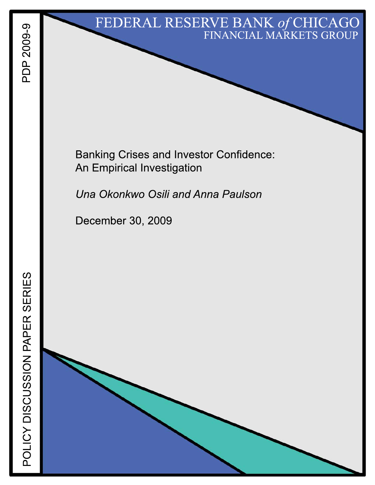# FEDERAL RESERVE BANK of CHICAGO FINANCIAL MARKETS GROUP

**Banking Crises and Investor Confidence:** An Empirical Investigation

Una Okonkwo Osili and Anna Paulson

December 30, 2009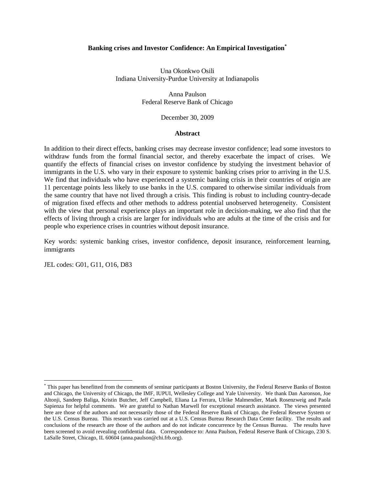#### **Banking crises and Investor Confidence: An Empirical Investigation\***

Una Okonkwo Osili Indiana University-Purdue University at Indianapolis

> Anna Paulson Federal Reserve Bank of Chicago

> > December 30, 2009

#### **Abstract**

In addition to their direct effects, banking crises may decrease investor confidence; lead some investors to withdraw funds from the formal financial sector, and thereby exacerbate the impact of crises. We quantify the effects of financial crises on investor confidence by studying the investment behavior of immigrants in the U.S. who vary in their exposure to systemic banking crises prior to arriving in the U.S. We find that individuals who have experienced a systemic banking crisis in their countries of origin are 11 percentage points less likely to use banks in the U.S. compared to otherwise similar individuals from the same country that have not lived through a crisis. This finding is robust to including country-decade of migration fixed effects and other methods to address potential unobserved heterogeneity. Consistent with the view that personal experience plays an important role in decision-making, we also find that the effects of living through a crisis are larger for individuals who are adults at the time of the crisis and for people who experience crises in countries without deposit insurance.

Key words: systemic banking crises, investor confidence, deposit insurance, reinforcement learning, immigrants

JEL codes: G01, G11, O16, D83

<sup>\*</sup> This paper has benefitted from the comments of seminar participants at Boston University, the Federal Reserve Banks of Boston and Chicago, the University of Chicago, the IMF, IUPUI, Wellesley College and Yale University. We thank Dan Aaronson, Joe Altonji, Sandeep Baliga, Kristin Butcher, Jeff Campbell, Eliana La Ferrara, Ulrike Malmendier, Mark Rosenzweig and Paola Sapienza for helpful comments. We are grateful to Nathan Marwell for exceptional research assistance. The views presented here are those of the authors and not necessarily those of the Federal Reserve Bank of Chicago, the Federal Reserve System or the U.S. Census Bureau. This research was carried out at a U.S. Census Bureau Research Data Center facility. The results and conclusions of the research are those of the authors and do not indicate concurrence by the Census Bureau. The results have been screened to avoid revealing confidential data. Correspondence to: Anna Paulson, Federal Reserve Bank of Chicago, 230 S. LaSalle Street, Chicago, IL 60604 (anna.paulson@chi.frb.org).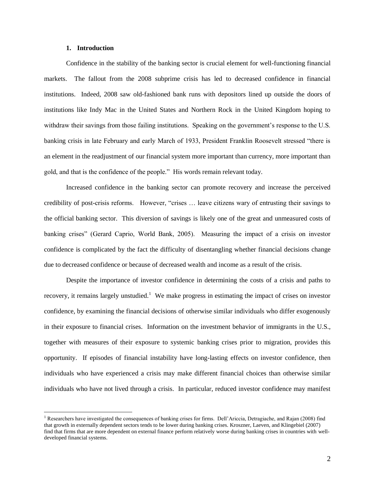#### **1. Introduction**

 $\overline{a}$ 

Confidence in the stability of the banking sector is crucial element for well-functioning financial markets. The fallout from the 2008 subprime crisis has led to decreased confidence in financial institutions. Indeed, 2008 saw old-fashioned bank runs with depositors lined up outside the doors of institutions like Indy Mac in the United States and Northern Rock in the United Kingdom hoping to withdraw their savings from those failing institutions. Speaking on the government's response to the U.S. banking crisis in late February and early March of 1933, President Franklin Roosevelt stressed "there is an element in the readjustment of our financial system more important than currency, more important than gold, and that is the confidence of the people." His words remain relevant today.

Increased confidence in the banking sector can promote recovery and increase the perceived credibility of post-crisis reforms. However, "crises … leave citizens wary of entrusting their savings to the official banking sector. This diversion of savings is likely one of the great and unmeasured costs of banking crises" (Gerard Caprio, World Bank, 2005). Measuring the impact of a crisis on investor confidence is complicated by the fact the difficulty of disentangling whether financial decisions change due to decreased confidence or because of decreased wealth and income as a result of the crisis.

Despite the importance of investor confidence in determining the costs of a crisis and paths to recovery, it remains largely unstudied.<sup>1</sup> We make progress in estimating the impact of crises on investor confidence, by examining the financial decisions of otherwise similar individuals who differ exogenously in their exposure to financial crises. Information on the investment behavior of immigrants in the U.S., together with measures of their exposure to systemic banking crises prior to migration, provides this opportunity. If episodes of financial instability have long-lasting effects on investor confidence, then individuals who have experienced a crisis may make different financial choices than otherwise similar individuals who have not lived through a crisis. In particular, reduced investor confidence may manifest

<sup>&</sup>lt;sup>1</sup> Researchers have investigated the consequences of banking crises for firms. Dell'Ariccia, Detragiache, and Rajan (2008) find that growth in externally dependent sectors tends to be lower during banking crises. Kroszner, Laeven, and Klingebiel (2007) find that firms that are more dependent on external finance perform relatively worse during banking crises in countries with welldeveloped financial systems.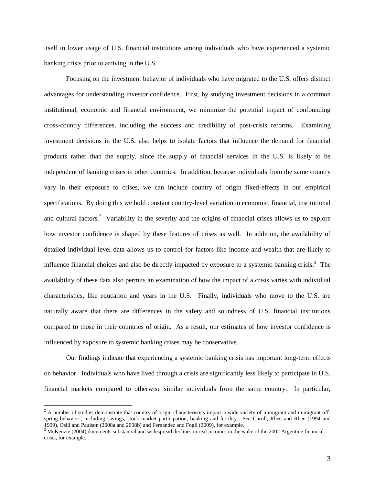itself in lower usage of U.S. financial institutions among individuals who have experienced a systemic banking crisis prior to arriving in the U.S.

Focusing on the investment behavior of individuals who have migrated to the U.S. offers distinct advantages for understanding investor confidence. First, by studying investment decisions in a common institutional, economic and financial environment, we minimize the potential impact of confounding cross-country differences, including the success and credibility of post-crisis reforms. Examining investment decisions in the U.S. also helps to isolate factors that influence the demand for financial products rather than the supply, since the supply of financial services in the U.S. is likely to be independent of banking crises in other countries. In addition, because individuals from the same country vary in their exposure to crises, we can include country of origin fixed-effects in our empirical specifications. By doing this we hold constant country-level variation in economic, financial, institutional and cultural factors.<sup>2</sup> Variability in the severity and the origins of financial crises allows us to explore how investor confidence is shaped by these features of crises as well. In addition, the availability of detailed individual level data allows us to control for factors like income and wealth that are likely to influence financial choices and also be directly impacted by exposure to a systemic banking crisis. 3 The availability of these data also permits an examination of how the impact of a crisis varies with individual characteristics, like education and years in the U.S. Finally, individuals who move to the U.S. are naturally aware that there are differences in the safety and soundness of U.S. financial institutions compared to those in their countries of origin. As a result, our estimates of how investor confidence is influenced by exposure to systemic banking crises may be conservative.

Our findings indicate that experiencing a systemic banking crisis has important long-term effects on behavior. Individuals who have lived through a crisis are significantly less likely to participate in U.S. financial markets compared to otherwise similar individuals from the same country. In particular,

 $2$  A number of studies demonstrate that country of origin characteristics impact a wide variety of immigrant and immigrant offspring behavior., including savings, stock market participation, banking and fertility. See Caroll, Rhee and Rhee (1994 and 1999), Osili and Paulson (2008a and 2008b) and Fernandez and Fogli (2009), for example.

 $3$  McKenzie (2004) documents substantial and widespread declines in real incomes in the wake of the 2002 Argentine financial crisis, for example.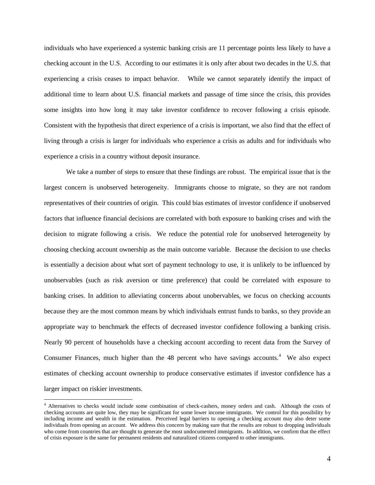individuals who have experienced a systemic banking crisis are 11 percentage points less likely to have a checking account in the U.S. According to our estimates it is only after about two decades in the U.S. that experiencing a crisis ceases to impact behavior. While we cannot separately identify the impact of additional time to learn about U.S. financial markets and passage of time since the crisis, this provides some insights into how long it may take investor confidence to recover following a crisis episode. Consistent with the hypothesis that direct experience of a crisis is important, we also find that the effect of living through a crisis is larger for individuals who experience a crisis as adults and for individuals who experience a crisis in a country without deposit insurance.

We take a number of steps to ensure that these findings are robust. The empirical issue that is the largest concern is unobserved heterogeneity. Immigrants choose to migrate, so they are not random representatives of their countries of origin. This could bias estimates of investor confidence if unobserved factors that influence financial decisions are correlated with both exposure to banking crises and with the decision to migrate following a crisis. We reduce the potential role for unobserved heterogeneity by choosing checking account ownership as the main outcome variable. Because the decision to use checks is essentially a decision about what sort of payment technology to use, it is unlikely to be influenced by unobservables (such as risk aversion or time preference) that could be correlated with exposure to banking crises. In addition to alleviating concerns about unobervables, we focus on checking accounts because they are the most common means by which individuals entrust funds to banks, so they provide an appropriate way to benchmark the effects of decreased investor confidence following a banking crisis. Nearly 90 percent of households have a checking account according to recent data from the Survey of Consumer Finances, much higher than the  $48$  percent who have savings accounts.<sup>4</sup> We also expect estimates of checking account ownership to produce conservative estimates if investor confidence has a larger impact on riskier investments.

<sup>4</sup> Alternatives to checks would include some combination of check-cashers, money orders and cash. Although the costs of checking accounts are quite low, they may be significant for some lower income immigrants. We control for this possibility by including income and wealth in the estimation. Perceived legal barriers to opening a checking account may also deter some individuals from opening an account. We address this concern by making sure that the results are robust to dropping individuals who come from countries that are thought to generate the most undocumented immigrants. In addition, we confirm that the effect of crisis exposure is the same for permanent residents and naturalized citizens compared to other immigrants.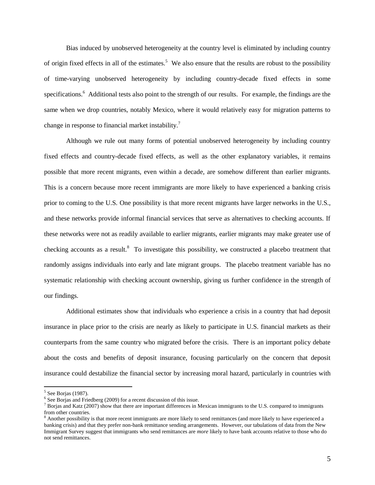Bias induced by unobserved heterogeneity at the country level is eliminated by including country of origin fixed effects in all of the estimates.<sup>5</sup> We also ensure that the results are robust to the possibility of time-varying unobserved heterogeneity by including country-decade fixed effects in some specifications.<sup>6</sup> Additional tests also point to the strength of our results. For example, the findings are the same when we drop countries, notably Mexico, where it would relatively easy for migration patterns to change in response to financial market instability.<sup>7</sup>

Although we rule out many forms of potential unobserved heterogeneity by including country fixed effects and country-decade fixed effects, as well as the other explanatory variables, it remains possible that more recent migrants, even within a decade, are somehow different than earlier migrants. This is a concern because more recent immigrants are more likely to have experienced a banking crisis prior to coming to the U.S. One possibility is that more recent migrants have larger networks in the U.S., and these networks provide informal financial services that serve as alternatives to checking accounts. If these networks were not as readily available to earlier migrants, earlier migrants may make greater use of checking accounts as a result.<sup>8</sup> To investigate this possibility, we constructed a placebo treatment that randomly assigns individuals into early and late migrant groups. The placebo treatment variable has no systematic relationship with checking account ownership, giving us further confidence in the strength of our findings.

Additional estimates show that individuals who experience a crisis in a country that had deposit insurance in place prior to the crisis are nearly as likely to participate in U.S. financial markets as their counterparts from the same country who migrated before the crisis. There is an important policy debate about the costs and benefits of deposit insurance, focusing particularly on the concern that deposit insurance could destabilize the financial sector by increasing moral hazard, particularly in countries with

<sup>5</sup> See Borjas (1987).

 $6$  See Borjas and Friedberg (2009) for a recent discussion of this issue.

 $^7$  Borjas and Katz (2007) show that there are important differences in Mexican immigrants to the U.S. compared to immigrants from other countries.

 $8$  Another possibility is that more recent immigrants are more likely to send remittances (and more likely to have experienced a banking crisis) and that they prefer non-bank remittance sending arrangements. However, our tabulations of data from the New Immigrant Survey suggest that immigrants who send remittances are *more* likely to have bank accounts relative to those who do not send remittances.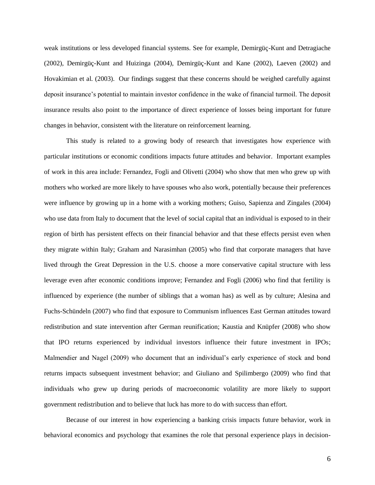weak institutions or less developed financial systems. See for example, Demirgüç-Kunt and Detragiache (2002), Demirgüç-Kunt and Huizinga (2004), Demirgüç-Kunt and Kane (2002), Laeven (2002) and Hovakimian et al. (2003). Our findings suggest that these concerns should be weighed carefully against deposit insurance's potential to maintain investor confidence in the wake of financial turmoil. The deposit insurance results also point to the importance of direct experience of losses being important for future changes in behavior, consistent with the literature on reinforcement learning.

This study is related to a growing body of research that investigates how experience with particular institutions or economic conditions impacts future attitudes and behavior. Important examples of work in this area include: Fernandez, Fogli and Olivetti (2004) who show that men who grew up with mothers who worked are more likely to have spouses who also work, potentially because their preferences were influence by growing up in a home with a working mothers; Guiso, Sapienza and Zingales (2004) who use data from Italy to document that the level of social capital that an individual is exposed to in their region of birth has persistent effects on their financial behavior and that these effects persist even when they migrate within Italy; Graham and Narasimhan (2005) who find that corporate managers that have lived through the Great Depression in the U.S. choose a more conservative capital structure with less leverage even after economic conditions improve; Fernandez and Fogli (2006) who find that fertility is influenced by experience (the number of siblings that a woman has) as well as by culture; Alesina and Fuchs-Schündeln (2007) who find that exposure to Communism influences East German attitudes toward redistribution and state intervention after German reunification; Kaustia and Knüpfer (2008) who show that IPO returns experienced by individual investors influence their future investment in IPOs; Malmendier and Nagel (2009) who document that an individual's early experience of stock and bond returns impacts subsequent investment behavior; and Giuliano and Spilimbergo (2009) who find that individuals who grew up during periods of macroeconomic volatility are more likely to support government redistribution and to believe that luck has more to do with success than effort.

Because of our interest in how experiencing a banking crisis impacts future behavior, work in behavioral economics and psychology that examines the role that personal experience plays in decision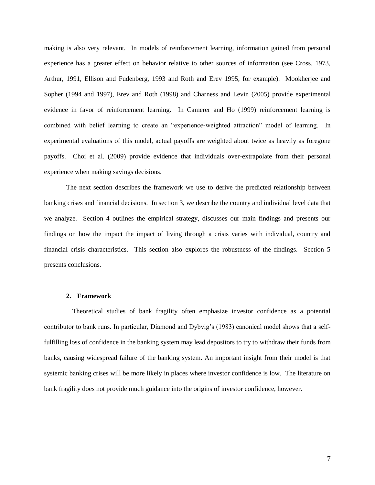making is also very relevant. In models of reinforcement learning, information gained from personal experience has a greater effect on behavior relative to other sources of information (see Cross, 1973, Arthur, 1991, Ellison and Fudenberg, 1993 and Roth and Erev 1995, for example). Mookherjee and Sopher (1994 and 1997), Erev and Roth (1998) and Charness and Levin (2005) provide experimental evidence in favor of reinforcement learning. In Camerer and Ho (1999) reinforcement learning is combined with belief learning to create an "experience-weighted attraction" model of learning. In experimental evaluations of this model, actual payoffs are weighted about twice as heavily as foregone payoffs. Choi et al. (2009) provide evidence that individuals over-extrapolate from their personal experience when making savings decisions.

The next section describes the framework we use to derive the predicted relationship between banking crises and financial decisions. In section 3, we describe the country and individual level data that we analyze. Section 4 outlines the empirical strategy, discusses our main findings and presents our findings on how the impact the impact of living through a crisis varies with individual, country and financial crisis characteristics. This section also explores the robustness of the findings. Section 5 presents conclusions.

#### **2. Framework**

Theoretical studies of bank fragility often emphasize investor confidence as a potential contributor to bank runs. In particular, Diamond and Dybvig's (1983) canonical model shows that a selffulfilling loss of confidence in the banking system may lead depositors to try to withdraw their funds from banks, causing widespread failure of the banking system. An important insight from their model is that systemic banking crises will be more likely in places where investor confidence is low. The literature on bank fragility does not provide much guidance into the origins of investor confidence, however.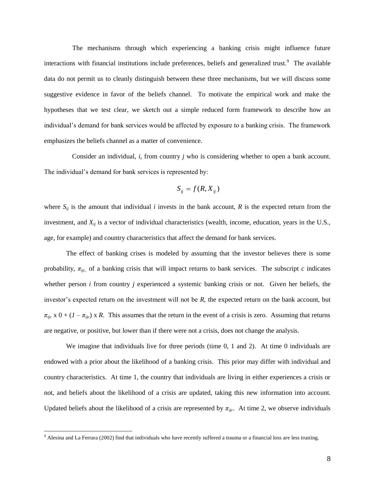The mechanisms through which experiencing a banking crisis might influence future interactions with financial institutions include preferences, beliefs and generalized trust.<sup>9</sup> The available data do not permit us to cleanly distinguish between these three mechanisms, but we will discuss some suggestive evidence in favor of the beliefs channel. To motivate the empirical work and make the hypotheses that we test clear, we sketch out a simple reduced form framework to describe how an individual's demand for bank services would be affected by exposure to a banking crisis. The framework emphasizes the beliefs channel as a matter of convenience.

Consider an individual, *i*, from country *j* who is considering whether to open a bank account. The individual's demand for bank services is represented by:

$$
S_{ij} = f(R, X_{ij})
$$

where  $S_{ij}$  is the amount that individual *i* invests in the bank account, *R* is the expected return from the investment, and *Xij* is a vector of individual characteristics (wealth, income, education, years in the U.S., age, for example) and country characteristics that affect the demand for bank services.

The effect of banking crises is modeled by assuming that the investor believes there is some probability,  $\pi_{ijc}$ , of a banking crisis that will impact returns to bank services. The subscript *c* indicates whether person *i* from country *j* experienced a systemic banking crisis or not. Given her beliefs, the investor's expected return on the investment will not be *R*, the expected return on the bank account, but  $\pi_{ijc}$  x 0 + (*1* –  $\pi_{ijc}$ ) x *R*. This assumes that the return in the event of a crisis is zero. Assuming that returns are negative, or positive, but lower than if there were not a crisis, does not change the analysis.

We imagine that individuals live for three periods (time 0, 1 and 2). At time 0 individuals are endowed with a prior about the likelihood of a banking crisis. This prior may differ with individual and country characteristics. At time 1, the country that individuals are living in either experiences a crisis or not, and beliefs about the likelihood of a crisis are updated, taking this new information into account. Updated beliefs about the likelihood of a crisis are represented by  $\pi_{ijc}$ . At time 2, we observe individuals

 $9$  Alesina and La Ferrara (2002) find that individuals who have recently suffered a trauma or a financial loss are less trusting.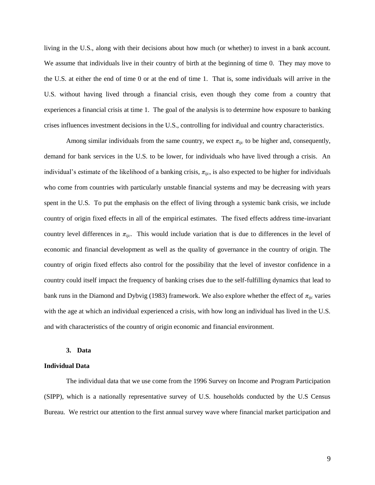living in the U.S., along with their decisions about how much (or whether) to invest in a bank account. We assume that individuals live in their country of birth at the beginning of time 0. They may move to the U.S. at either the end of time 0 or at the end of time 1. That is, some individuals will arrive in the U.S. without having lived through a financial crisis, even though they come from a country that experiences a financial crisis at time 1. The goal of the analysis is to determine how exposure to banking crises influences investment decisions in the U.S., controlling for individual and country characteristics.

Among similar individuals from the same country, we expect  $\pi_{ijc}$  to be higher and, consequently, demand for bank services in the U.S. to be lower, for individuals who have lived through a crisis. An individual's estimate of the likelihood of a banking crisis,  $\pi_{\text{lic}}$ , is also expected to be higher for individuals who come from countries with particularly unstable financial systems and may be decreasing with years spent in the U.S. To put the emphasis on the effect of living through a systemic bank crisis, we include country of origin fixed effects in all of the empirical estimates. The fixed effects address time-invariant country level differences in  $\pi_{\text{ijc}}$ . This would include variation that is due to differences in the level of economic and financial development as well as the quality of governance in the country of origin. The country of origin fixed effects also control for the possibility that the level of investor confidence in a country could itself impact the frequency of banking crises due to the self-fulfilling dynamics that lead to bank runs in the Diamond and Dybvig (1983) framework. We also explore whether the effect of  $\pi_{ijc}$  varies with the age at which an individual experienced a crisis, with how long an individual has lived in the U.S. and with characteristics of the country of origin economic and financial environment.

#### **3. Data**

#### **Individual Data**

The individual data that we use come from the 1996 Survey on Income and Program Participation (SIPP), which is a nationally representative survey of U.S. households conducted by the U.S Census Bureau. We restrict our attention to the first annual survey wave where financial market participation and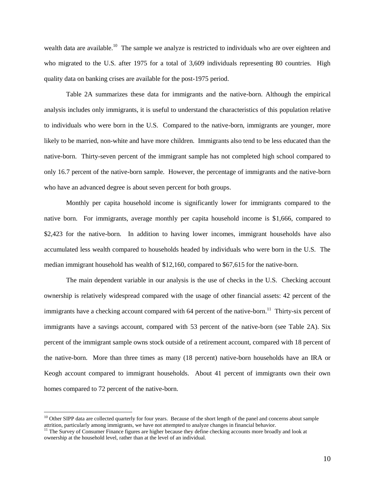wealth data are available.<sup>10</sup> The sample we analyze is restricted to individuals who are over eighteen and who migrated to the U.S. after 1975 for a total of 3,609 individuals representing 80 countries. High quality data on banking crises are available for the post-1975 period.

Table 2A summarizes these data for immigrants and the native-born. Although the empirical analysis includes only immigrants, it is useful to understand the characteristics of this population relative to individuals who were born in the U.S. Compared to the native-born, immigrants are younger, more likely to be married, non-white and have more children. Immigrants also tend to be less educated than the native-born. Thirty-seven percent of the immigrant sample has not completed high school compared to only 16.7 percent of the native-born sample. However, the percentage of immigrants and the native-born who have an advanced degree is about seven percent for both groups.

Monthly per capita household income is significantly lower for immigrants compared to the native born. For immigrants, average monthly per capita household income is \$1,666, compared to \$2,423 for the native-born. In addition to having lower incomes, immigrant households have also accumulated less wealth compared to households headed by individuals who were born in the U.S. The median immigrant household has wealth of \$12,160, compared to \$67,615 for the native-born.

The main dependent variable in our analysis is the use of checks in the U.S. Checking account ownership is relatively widespread compared with the usage of other financial assets: 42 percent of the immigrants have a checking account compared with 64 percent of the native-born.<sup>11</sup> Thirty-six percent of immigrants have a savings account, compared with 53 percent of the native-born (see Table 2A). Six percent of the immigrant sample owns stock outside of a retirement account, compared with 18 percent of the native-born. More than three times as many (18 percent) native-born households have an IRA or Keogh account compared to immigrant households. About 41 percent of immigrants own their own homes compared to 72 percent of the native-born.

<sup>&</sup>lt;sup>10</sup> Other SIPP data are collected quarterly for four years. Because of the short length of the panel and concerns about sample attrition, particularly among immigrants, we have not attempted to analyze changes in financial behavior.

<sup>&</sup>lt;sup>11</sup> The Survey of Consumer Finance figures are higher because they define checking accounts more broadly and look at ownership at the household level, rather than at the level of an individual.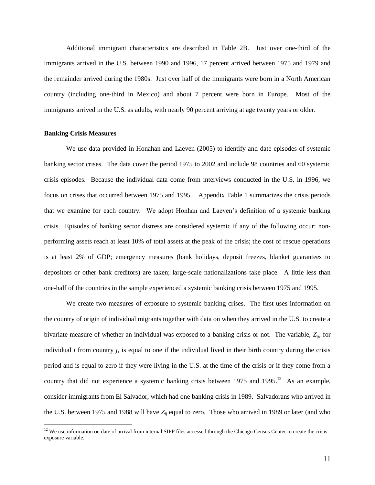Additional immigrant characteristics are described in Table 2B. Just over one-third of the immigrants arrived in the U.S. between 1990 and 1996, 17 percent arrived between 1975 and 1979 and the remainder arrived during the 1980s. Just over half of the immigrants were born in a North American country (including one-third in Mexico) and about 7 percent were born in Europe. Most of the immigrants arrived in the U.S. as adults, with nearly 90 percent arriving at age twenty years or older.

#### **Banking Crisis Measures**

 $\overline{a}$ 

We use data provided in Honahan and Laeven (2005) to identify and date episodes of systemic banking sector crises. The data cover the period 1975 to 2002 and include 98 countries and 60 systemic crisis episodes. Because the individual data come from interviews conducted in the U.S. in 1996, we focus on crises that occurred between 1975 and 1995. Appendix Table 1 summarizes the crisis periods that we examine for each country. We adopt Honhan and Laeven's definition of a systemic banking crisis. Episodes of banking sector distress are considered systemic if any of the following occur: nonperforming assets reach at least 10% of total assets at the peak of the crisis; the cost of rescue operations is at least 2% of GDP; emergency measures (bank holidays, deposit freezes, blanket guarantees to depositors or other bank creditors) are taken; large-scale nationalizations take place. A little less than one-half of the countries in the sample experienced a systemic banking crisis between 1975 and 1995.

We create two measures of exposure to systemic banking crises. The first uses information on the country of origin of individual migrants together with data on when they arrived in the U.S. to create a bivariate measure of whether an individual was exposed to a banking crisis or not. The variable, *Zij*, for individual *i* from country *j*, is equal to one if the individual lived in their birth country during the crisis period and is equal to zero if they were living in the U.S. at the time of the crisis or if they come from a country that did not experience a systemic banking crisis between  $1975$  and  $1995$ .<sup>12</sup> As an example, consider immigrants from El Salvador, which had one banking crisis in 1989. Salvadorans who arrived in the U.S. between 1975 and 1988 will have *Zij* equal to zero. Those who arrived in 1989 or later (and who

 $12$  We use information on date of arrival from internal SIPP files accessed through the Chicago Census Center to create the crisis exposure variable.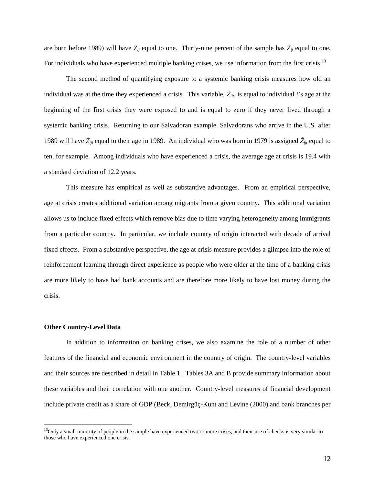are born before 1989) will have  $Z_{ij}$  equal to one. Thirty-nine percent of the sample has  $Z_{ij}$  equal to one. For individuals who have experienced multiple banking crises, we use information from the first crisis.<sup>13</sup>

The second method of quantifying exposure to a systemic banking crisis measures how old an individual was at the time they experienced a crisis. This variable,  $\check{Z}_{ijt}$ , is equal to individual *i*'s age at the beginning of the first crisis they were exposed to and is equal to zero if they never lived through a systemic banking crisis. Returning to our Salvadoran example, Salvadorans who arrive in the U.S. after 1989 will have  $\tilde{Z}_{ijt}$  equal to their age in 1989. An individual who was born in 1979 is assigned  $\tilde{Z}_{ijt}$  equal to ten, for example. Among individuals who have experienced a crisis, the average age at crisis is 19.4 with a standard deviation of 12.2 years.

This measure has empirical as well as substantive advantages. From an empirical perspective, age at crisis creates additional variation among migrants from a given country. This additional variation allows us to include fixed effects which remove bias due to time varying heterogeneity among immigrants from a particular country. In particular, we include country of origin interacted with decade of arrival fixed effects. From a substantive perspective, the age at crisis measure provides a glimpse into the role of reinforcement learning through direct experience as people who were older at the time of a banking crisis are more likely to have had bank accounts and are therefore more likely to have lost money during the crisis.

#### **Other Country-Level Data**

 $\overline{a}$ 

In addition to information on banking crises, we also examine the role of a number of other features of the financial and economic environment in the country of origin. The country-level variables and their sources are described in detail in Table 1. Tables 3A and B provide summary information about these variables and their correlation with one another. Country-level measures of financial development include private credit as a share of GDP (Beck, Demirgüç-Kunt and Levine (2000) and bank branches per

 $<sup>13</sup>$ Only a small minority of people in the sample have experienced two or more crises, and their use of checks is very similar to</sup> those who have experienced one crisis.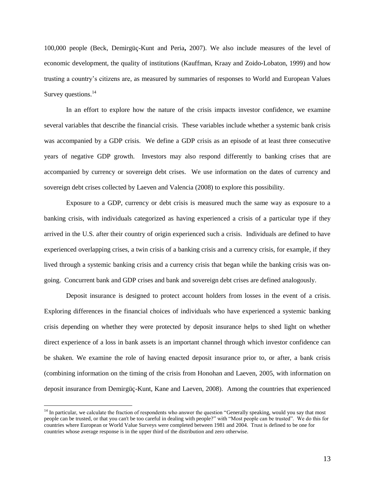100,000 people (Beck, Demirgüç-Kunt and Peria**,** 2007). We also include measures of the level of economic development, the quality of institutions (Kauffman, Kraay and Zoido-Lobaton, 1999) and how trusting a country's citizens are, as measured by summaries of responses to World and European Values Survey questions. $^{14}$ 

In an effort to explore how the nature of the crisis impacts investor confidence, we examine several variables that describe the financial crisis. These variables include whether a systemic bank crisis was accompanied by a GDP crisis. We define a GDP crisis as an episode of at least three consecutive years of negative GDP growth. Investors may also respond differently to banking crises that are accompanied by currency or sovereign debt crises. We use information on the dates of currency and sovereign debt crises collected by Laeven and Valencia (2008) to explore this possibility.

Exposure to a GDP, currency or debt crisis is measured much the same way as exposure to a banking crisis, with individuals categorized as having experienced a crisis of a particular type if they arrived in the U.S. after their country of origin experienced such a crisis. Individuals are defined to have experienced overlapping crises, a twin crisis of a banking crisis and a currency crisis, for example, if they lived through a systemic banking crisis and a currency crisis that began while the banking crisis was ongoing. Concurrent bank and GDP crises and bank and sovereign debt crises are defined analogously.

Deposit insurance is designed to protect account holders from losses in the event of a crisis. Exploring differences in the financial choices of individuals who have experienced a systemic banking crisis depending on whether they were protected by deposit insurance helps to shed light on whether direct experience of a loss in bank assets is an important channel through which investor confidence can be shaken. We examine the role of having enacted deposit insurance prior to, or after, a bank crisis (combining information on the timing of the crisis from Honohan and Laeven, 2005, with information on deposit insurance from Demirgüç-Kunt, Kane and Laeven, 2008). Among the countries that experienced

<sup>&</sup>lt;sup>14</sup> In particular, we calculate the fraction of respondents who answer the question "Generally speaking, would you say that most people can be trusted, or that you can't be too careful in dealing with people?" with "Most people can be trusted". We do this for countries where European or World Value Surveys were completed between 1981 and 2004. Trust is defined to be one for countries whose average response is in the upper third of the distribution and zero otherwise.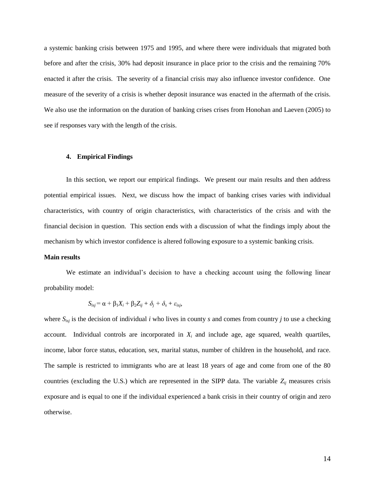a systemic banking crisis between 1975 and 1995, and where there were individuals that migrated both before and after the crisis, 30% had deposit insurance in place prior to the crisis and the remaining 70% enacted it after the crisis. The severity of a financial crisis may also influence investor confidence. One measure of the severity of a crisis is whether deposit insurance was enacted in the aftermath of the crisis. We also use the information on the duration of banking crises crises from Honohan and Laeven (2005) to see if responses vary with the length of the crisis.

#### **4. Empirical Findings**

In this section, we report our empirical findings. We present our main results and then address potential empirical issues. Next, we discuss how the impact of banking crises varies with individual characteristics, with country of origin characteristics, with characteristics of the crisis and with the financial decision in question. This section ends with a discussion of what the findings imply about the mechanism by which investor confidence is altered following exposure to a systemic banking crisis.

#### **Main results**

We estimate an individual's decision to have a checking account using the following linear probability model:

$$
S_{isj} = \alpha + \beta_1 X_i + \beta_2 Z_{ij} + \delta_j + \delta_s + \varepsilon_{isj},
$$

where *Sisj* is the decision of individual *i* who lives in county *s* and comes from country *j* to use a checking account. Individual controls are incorporated in  $X_i$  and include age, age squared, wealth quartiles, income, labor force status, education, sex, marital status, number of children in the household, and race. The sample is restricted to immigrants who are at least 18 years of age and come from one of the 80 countries (excluding the U.S.) which are represented in the SIPP data. The variable *Zij* measures crisis exposure and is equal to one if the individual experienced a bank crisis in their country of origin and zero otherwise.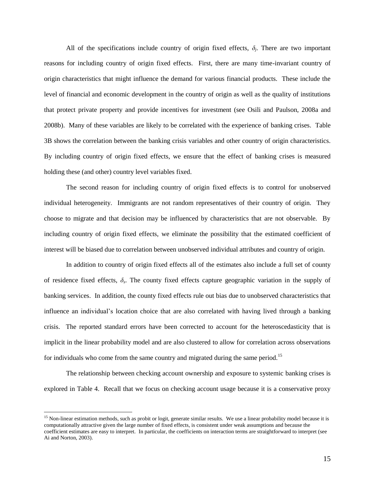All of the specifications include country of origin fixed effects,  $\delta_j$ . There are two important reasons for including country of origin fixed effects. First, there are many time-invariant country of origin characteristics that might influence the demand for various financial products. These include the level of financial and economic development in the country of origin as well as the quality of institutions that protect private property and provide incentives for investment (see Osili and Paulson, 2008a and 2008b). Many of these variables are likely to be correlated with the experience of banking crises. Table 3B shows the correlation between the banking crisis variables and other country of origin characteristics. By including country of origin fixed effects, we ensure that the effect of banking crises is measured holding these (and other) country level variables fixed.

The second reason for including country of origin fixed effects is to control for unobserved individual heterogeneity. Immigrants are not random representatives of their country of origin. They choose to migrate and that decision may be influenced by characteristics that are not observable. By including country of origin fixed effects, we eliminate the possibility that the estimated coefficient of interest will be biased due to correlation between unobserved individual attributes and country of origin.

In addition to country of origin fixed effects all of the estimates also include a full set of county of residence fixed effects, *δ<sup>s</sup>* . The county fixed effects capture geographic variation in the supply of banking services. In addition, the county fixed effects rule out bias due to unobserved characteristics that influence an individual's location choice that are also correlated with having lived through a banking crisis. The reported standard errors have been corrected to account for the heteroscedasticity that is implicit in the linear probability model and are also clustered to allow for correlation across observations for individuals who come from the same country and migrated during the same period.<sup>15</sup>

The relationship between checking account ownership and exposure to systemic banking crises is explored in Table 4. Recall that we focus on checking account usage because it is a conservative proxy

 $15$  Non-linear estimation methods, such as probit or logit, generate similar results. We use a linear probability model because it is computationally attractive given the large number of fixed effects, is consistent under weak assumptions and because the coefficient estimates are easy to interpret. In particular, the coefficients on interaction terms are straightforward to interpret (see Ai and Norton, 2003).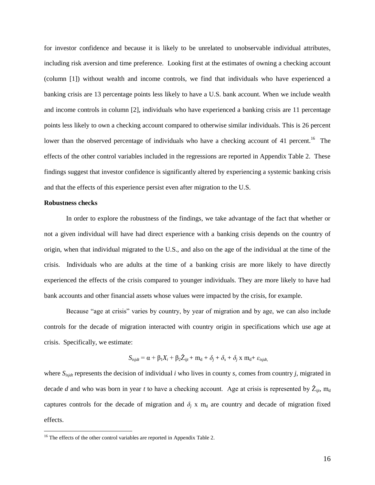for investor confidence and because it is likely to be unrelated to unobservable individual attributes, including risk aversion and time preference. Looking first at the estimates of owning a checking account (column [1]) without wealth and income controls, we find that individuals who have experienced a banking crisis are 13 percentage points less likely to have a U.S. bank account. When we include wealth and income controls in column [2], individuals who have experienced a banking crisis are 11 percentage points less likely to own a checking account compared to otherwise similar individuals. This is 26 percent lower than the observed percentage of individuals who have a checking account of 41 percent.<sup>16</sup> The effects of the other control variables included in the regressions are reported in Appendix Table 2. These findings suggest that investor confidence is significantly altered by experiencing a systemic banking crisis and that the effects of this experience persist even after migration to the U.S.

#### **Robustness checks**

 $\overline{a}$ 

In order to explore the robustness of the findings, we take advantage of the fact that whether or not a given individual will have had direct experience with a banking crisis depends on the country of origin, when that individual migrated to the U.S., and also on the age of the individual at the time of the crisis. Individuals who are adults at the time of a banking crisis are more likely to have directly experienced the effects of the crisis compared to younger individuals. They are more likely to have had bank accounts and other financial assets whose values were impacted by the crisis, for example.

Because "age at crisis" varies by country, by year of migration and by age, we can also include controls for the decade of migration interacted with country origin in specifications which use age at crisis. Specifically, we estimate:

$$
S_{isjdt} = \alpha + \beta_1 X_i + \beta_2 \tilde{Z}_{ijt} + \mathbf{m}_d + \delta_j + \delta_s + \delta_j \mathbf{x} \mathbf{m}_d + \varepsilon_{isjdt}
$$

where *Sisjdt* represents the decision of individual *i* who lives in county *s,* comes from country *j,* migrated in decade *d* and who was born in year *t* to have a checking account. Age at crisis is represented by  $\check{Z}_{ijt}$ , m<sub>d</sub> captures controls for the decade of migration and  $\delta$ <sup>*j*</sup> x m<sub>d</sub> are country and decade of migration fixed effects.

<sup>&</sup>lt;sup>16</sup> The effects of the other control variables are reported in Appendix Table 2.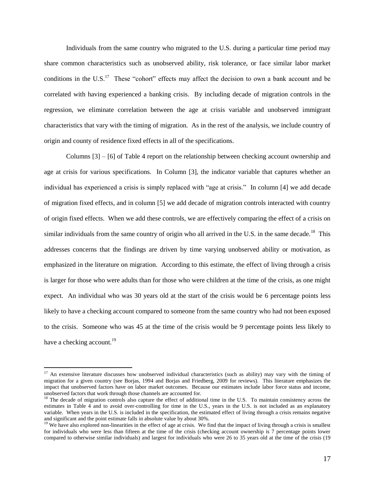Individuals from the same country who migrated to the U.S. during a particular time period may share common characteristics such as unobserved ability, risk tolerance, or face similar labor market conditions in the U.S.<sup>17</sup> These "cohort" effects may affect the decision to own a bank account and be correlated with having experienced a banking crisis. By including decade of migration controls in the regression, we eliminate correlation between the age at crisis variable and unobserved immigrant characteristics that vary with the timing of migration. As in the rest of the analysis, we include country of origin and county of residence fixed effects in all of the specifications.

Columns [3] – [6] of Table 4 report on the relationship between checking account ownership and age at crisis for various specifications. In Column [3], the indicator variable that captures whether an individual has experienced a crisis is simply replaced with "age at crisis." In column [4] we add decade of migration fixed effects, and in column [5] we add decade of migration controls interacted with country of origin fixed effects. When we add these controls, we are effectively comparing the effect of a crisis on similar individuals from the same country of origin who all arrived in the U.S. in the same decade.<sup>18</sup> This addresses concerns that the findings are driven by time varying unobserved ability or motivation, as emphasized in the literature on migration. According to this estimate, the effect of living through a crisis is larger for those who were adults than for those who were children at the time of the crisis, as one might expect. An individual who was 30 years old at the start of the crisis would be 6 percentage points less likely to have a checking account compared to someone from the same country who had not been exposed to the crisis. Someone who was 45 at the time of the crisis would be 9 percentage points less likely to have a checking account.<sup>19</sup>

 $17$  An extensive literature discusses how unobserved individual characteristics (such as ability) may vary with the timing of migration for a given country (see Borjas, 1994 and Borjas and Friedberg, 2009 for reviews). This literature emphasizes the impact that unobserved factors have on labor market outcomes. Because our estimates include labor force status and income, unobserved factors that work through those channels are accounted for.

 $18$  The decade of migration controls also capture the effect of additional time in the U.S. To maintain consistency across the estimates in Table 4 and to avoid over-controlling for time in the U.S., years in the U.S. is not included as an explanatory variable. When years in the U.S. is included in the specification, the estimated effect of living through a crisis remains negative and significant and the point estimate falls in absolute value by about 30%.

<sup>&</sup>lt;sup>19</sup> We have also explored non-linearities in the effect of age at crisis. We find that the impact of living through a crisis is smallest for individuals who were less than fifteen at the time of the crisis (checking account ownership is 7 percentage points lower compared to otherwise similar individuals) and largest for individuals who were 26 to 35 years old at the time of the crisis (19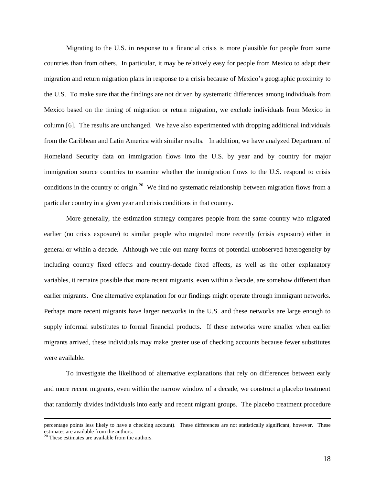Migrating to the U.S. in response to a financial crisis is more plausible for people from some countries than from others. In particular, it may be relatively easy for people from Mexico to adapt their migration and return migration plans in response to a crisis because of Mexico's geographic proximity to the U.S. To make sure that the findings are not driven by systematic differences among individuals from Mexico based on the timing of migration or return migration, we exclude individuals from Mexico in column [6]. The results are unchanged. We have also experimented with dropping additional individuals from the Caribbean and Latin America with similar results. In addition, we have analyzed Department of Homeland Security data on immigration flows into the U.S. by year and by country for major immigration source countries to examine whether the immigration flows to the U.S. respond to crisis conditions in the country of origin.<sup>20</sup> We find no systematic relationship between migration flows from a particular country in a given year and crisis conditions in that country.

More generally, the estimation strategy compares people from the same country who migrated earlier (no crisis exposure) to similar people who migrated more recently (crisis exposure) either in general or within a decade. Although we rule out many forms of potential unobserved heterogeneity by including country fixed effects and country-decade fixed effects, as well as the other explanatory variables, it remains possible that more recent migrants, even within a decade, are somehow different than earlier migrants. One alternative explanation for our findings might operate through immigrant networks. Perhaps more recent migrants have larger networks in the U.S. and these networks are large enough to supply informal substitutes to formal financial products. If these networks were smaller when earlier migrants arrived, these individuals may make greater use of checking accounts because fewer substitutes were available.

To investigate the likelihood of alternative explanations that rely on differences between early and more recent migrants, even within the narrow window of a decade, we construct a placebo treatment that randomly divides individuals into early and recent migrant groups. The placebo treatment procedure

percentage points less likely to have a checking account). These differences are not statistically significant, however. These estimates are available from the authors.

<sup>20</sup> These estimates are available from the authors.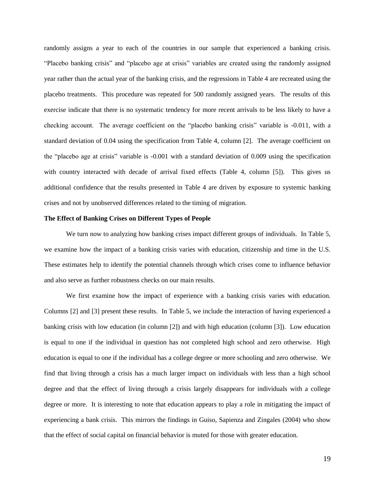randomly assigns a year to each of the countries in our sample that experienced a banking crisis. "Placebo banking crisis" and "placebo age at crisis" variables are created using the randomly assigned year rather than the actual year of the banking crisis, and the regressions in Table 4 are recreated using the placebo treatments. This procedure was repeated for 500 randomly assigned years. The results of this exercise indicate that there is no systematic tendency for more recent arrivals to be less likely to have a checking account. The average coefficient on the "placebo banking crisis" variable is -0.011, with a standard deviation of 0.04 using the specification from Table 4, column [2]. The average coefficient on the "placebo age at crisis" variable is -0.001 with a standard deviation of 0.009 using the specification with country interacted with decade of arrival fixed effects (Table 4, column [5]). This gives us additional confidence that the results presented in Table 4 are driven by exposure to systemic banking crises and not by unobserved differences related to the timing of migration.

#### **The Effect of Banking Crises on Different Types of People**

We turn now to analyzing how banking crises impact different groups of individuals. In Table 5, we examine how the impact of a banking crisis varies with education, citizenship and time in the U.S. These estimates help to identify the potential channels through which crises come to influence behavior and also serve as further robustness checks on our main results.

We first examine how the impact of experience with a banking crisis varies with education. Columns [2] and [3] present these results. In Table 5, we include the interaction of having experienced a banking crisis with low education (in column [2]) and with high education (column [3]). Low education is equal to one if the individual in question has not completed high school and zero otherwise. High education is equal to one if the individual has a college degree or more schooling and zero otherwise. We find that living through a crisis has a much larger impact on individuals with less than a high school degree and that the effect of living through a crisis largely disappears for individuals with a college degree or more. It is interesting to note that education appears to play a role in mitigating the impact of experiencing a bank crisis. This mirrors the findings in Guiso, Sapienza and Zingales (2004) who show that the effect of social capital on financial behavior is muted for those with greater education.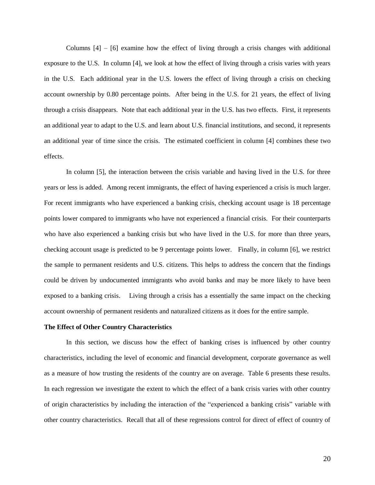Columns  $[4] - [6]$  examine how the effect of living through a crisis changes with additional exposure to the U.S. In column [4], we look at how the effect of living through a crisis varies with years in the U.S. Each additional year in the U.S. lowers the effect of living through a crisis on checking account ownership by 0.80 percentage points. After being in the U.S. for 21 years, the effect of living through a crisis disappears. Note that each additional year in the U.S. has two effects. First, it represents an additional year to adapt to the U.S. and learn about U.S. financial institutions, and second, it represents an additional year of time since the crisis. The estimated coefficient in column [4] combines these two effects.

In column [5], the interaction between the crisis variable and having lived in the U.S. for three years or less is added. Among recent immigrants, the effect of having experienced a crisis is much larger. For recent immigrants who have experienced a banking crisis, checking account usage is 18 percentage points lower compared to immigrants who have not experienced a financial crisis. For their counterparts who have also experienced a banking crisis but who have lived in the U.S. for more than three years, checking account usage is predicted to be 9 percentage points lower. Finally, in column [6], we restrict the sample to permanent residents and U.S. citizens. This helps to address the concern that the findings could be driven by undocumented immigrants who avoid banks and may be more likely to have been exposed to a banking crisis. Living through a crisis has a essentially the same impact on the checking account ownership of permanent residents and naturalized citizens as it does for the entire sample.

#### **The Effect of Other Country Characteristics**

In this section, we discuss how the effect of banking crises is influenced by other country characteristics, including the level of economic and financial development, corporate governance as well as a measure of how trusting the residents of the country are on average. Table 6 presents these results. In each regression we investigate the extent to which the effect of a bank crisis varies with other country of origin characteristics by including the interaction of the "experienced a banking crisis" variable with other country characteristics. Recall that all of these regressions control for direct of effect of country of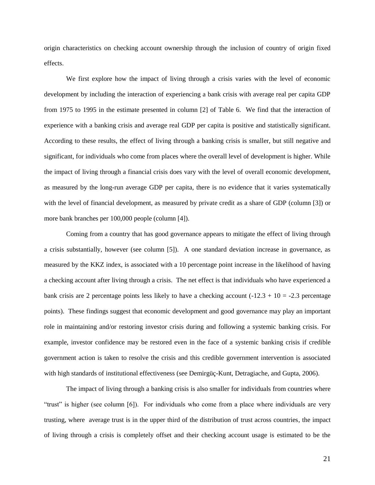origin characteristics on checking account ownership through the inclusion of country of origin fixed effects.

We first explore how the impact of living through a crisis varies with the level of economic development by including the interaction of experiencing a bank crisis with average real per capita GDP from 1975 to 1995 in the estimate presented in column [2] of Table 6. We find that the interaction of experience with a banking crisis and average real GDP per capita is positive and statistically significant. According to these results, the effect of living through a banking crisis is smaller, but still negative and significant, for individuals who come from places where the overall level of development is higher. While the impact of living through a financial crisis does vary with the level of overall economic development, as measured by the long-run average GDP per capita, there is no evidence that it varies systematically with the level of financial development, as measured by private credit as a share of GDP (column [3]) or more bank branches per 100,000 people (column [4]).

Coming from a country that has good governance appears to mitigate the effect of living through a crisis substantially, however (see column [5]). A one standard deviation increase in governance, as measured by the KKZ index, is associated with a 10 percentage point increase in the likelihood of having a checking account after living through a crisis. The net effect is that individuals who have experienced a bank crisis are 2 percentage points less likely to have a checking account  $(-12.3 + 10 = -2.3$  percentage points). These findings suggest that economic development and good governance may play an important role in maintaining and/or restoring investor crisis during and following a systemic banking crisis. For example, investor confidence may be restored even in the face of a systemic banking crisis if credible government action is taken to resolve the crisis and this credible government intervention is associated with high standards of institutional effectiveness (see Demirgüç-Kunt, Detragiache, and Gupta, 2006).

The impact of living through a banking crisis is also smaller for individuals from countries where "trust" is higher (see column [6]). For individuals who come from a place where individuals are very trusting, where average trust is in the upper third of the distribution of trust across countries, the impact of living through a crisis is completely offset and their checking account usage is estimated to be the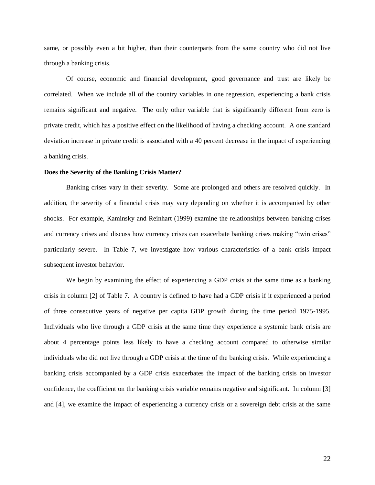same, or possibly even a bit higher, than their counterparts from the same country who did not live through a banking crisis.

Of course, economic and financial development, good governance and trust are likely be correlated. When we include all of the country variables in one regression, experiencing a bank crisis remains significant and negative. The only other variable that is significantly different from zero is private credit, which has a positive effect on the likelihood of having a checking account. A one standard deviation increase in private credit is associated with a 40 percent decrease in the impact of experiencing a banking crisis.

#### **Does the Severity of the Banking Crisis Matter?**

Banking crises vary in their severity. Some are prolonged and others are resolved quickly. In addition, the severity of a financial crisis may vary depending on whether it is accompanied by other shocks. For example, Kaminsky and Reinhart (1999) examine the relationships between banking crises and currency crises and discuss how currency crises can exacerbate banking crises making "twin crises" particularly severe. In Table 7, we investigate how various characteristics of a bank crisis impact subsequent investor behavior.

We begin by examining the effect of experiencing a GDP crisis at the same time as a banking crisis in column [2] of Table 7. A country is defined to have had a GDP crisis if it experienced a period of three consecutive years of negative per capita GDP growth during the time period 1975-1995. Individuals who live through a GDP crisis at the same time they experience a systemic bank crisis are about 4 percentage points less likely to have a checking account compared to otherwise similar individuals who did not live through a GDP crisis at the time of the banking crisis. While experiencing a banking crisis accompanied by a GDP crisis exacerbates the impact of the banking crisis on investor confidence, the coefficient on the banking crisis variable remains negative and significant. In column [3] and [4], we examine the impact of experiencing a currency crisis or a sovereign debt crisis at the same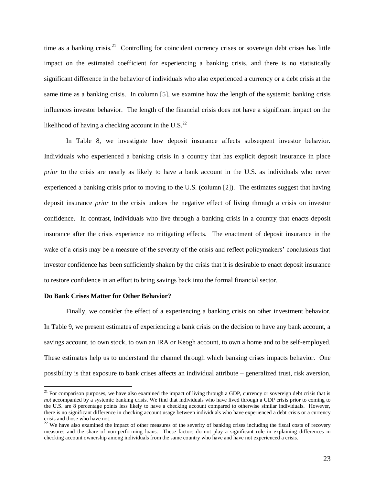time as a banking crisis.<sup>21</sup> Controlling for coincident currency crises or sovereign debt crises has little impact on the estimated coefficient for experiencing a banking crisis, and there is no statistically significant difference in the behavior of individuals who also experienced a currency or a debt crisis at the same time as a banking crisis. In column [5], we examine how the length of the systemic banking crisis influences investor behavior. The length of the financial crisis does not have a significant impact on the likelihood of having a checking account in the U.S. $^{22}$ 

In Table 8, we investigate how deposit insurance affects subsequent investor behavior. Individuals who experienced a banking crisis in a country that has explicit deposit insurance in place *prior* to the crisis are nearly as likely to have a bank account in the U.S. as individuals who never experienced a banking crisis prior to moving to the U.S. (column [2]). The estimates suggest that having deposit insurance *prior* to the crisis undoes the negative effect of living through a crisis on investor confidence. In contrast, individuals who live through a banking crisis in a country that enacts deposit insurance after the crisis experience no mitigating effects. The enactment of deposit insurance in the wake of a crisis may be a measure of the severity of the crisis and reflect policymakers' conclusions that investor confidence has been sufficiently shaken by the crisis that it is desirable to enact deposit insurance to restore confidence in an effort to bring savings back into the formal financial sector.

#### **Do Bank Crises Matter for Other Behavior?**

 $\overline{a}$ 

Finally, we consider the effect of a experiencing a banking crisis on other investment behavior. In Table 9, we present estimates of experiencing a bank crisis on the decision to have any bank account, a savings account, to own stock, to own an IRA or Keogh account, to own a home and to be self-employed. These estimates help us to understand the channel through which banking crises impacts behavior. One possibility is that exposure to bank crises affects an individual attribute – generalized trust, risk aversion,

 $21$  For comparison purposes, we have also examined the impact of living through a GDP, currency or sovereign debt crisis that is *not* accompanied by a systemic banking crisis. We find that individuals who have lived through a GDP crisis prior to coming to the U.S. are 8 percentage points less likely to have a checking account compared to otherwise similar individuals. However, there is no significant difference in checking account usage between individuals who have experienced a debt crisis or a currency crisis and those who have not.

 $22$  We have also examined the impact of other measures of the severity of banking crises including the fiscal costs of recovery measures and the share of non-performing loans. These factors do not play a significant role in explaining differences in checking account ownership among individuals from the same country who have and have not experienced a crisis.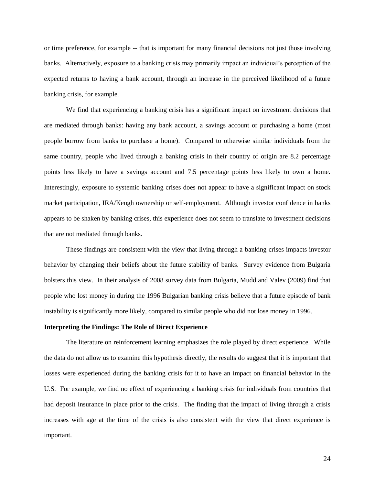or time preference, for example -- that is important for many financial decisions not just those involving banks. Alternatively, exposure to a banking crisis may primarily impact an individual's perception of the expected returns to having a bank account, through an increase in the perceived likelihood of a future banking crisis, for example.

We find that experiencing a banking crisis has a significant impact on investment decisions that are mediated through banks: having any bank account, a savings account or purchasing a home (most people borrow from banks to purchase a home). Compared to otherwise similar individuals from the same country, people who lived through a banking crisis in their country of origin are 8.2 percentage points less likely to have a savings account and 7.5 percentage points less likely to own a home. Interestingly, exposure to systemic banking crises does not appear to have a significant impact on stock market participation, IRA/Keogh ownership or self-employment. Although investor confidence in banks appears to be shaken by banking crises, this experience does not seem to translate to investment decisions that are not mediated through banks.

These findings are consistent with the view that living through a banking crises impacts investor behavior by changing their beliefs about the future stability of banks. Survey evidence from Bulgaria bolsters this view. In their analysis of 2008 survey data from Bulgaria, Mudd and Valev (2009) find that people who lost money in during the 1996 Bulgarian banking crisis believe that a future episode of bank instability is significantly more likely, compared to similar people who did not lose money in 1996.

#### **Interpreting the Findings: The Role of Direct Experience**

The literature on reinforcement learning emphasizes the role played by direct experience. While the data do not allow us to examine this hypothesis directly, the results do suggest that it is important that losses were experienced during the banking crisis for it to have an impact on financial behavior in the U.S. For example, we find no effect of experiencing a banking crisis for individuals from countries that had deposit insurance in place prior to the crisis. The finding that the impact of living through a crisis increases with age at the time of the crisis is also consistent with the view that direct experience is important.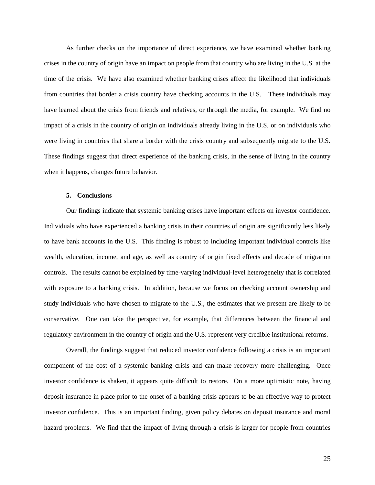As further checks on the importance of direct experience, we have examined whether banking crises in the country of origin have an impact on people from that country who are living in the U.S. at the time of the crisis. We have also examined whether banking crises affect the likelihood that individuals from countries that border a crisis country have checking accounts in the U.S. These individuals may have learned about the crisis from friends and relatives, or through the media, for example. We find no impact of a crisis in the country of origin on individuals already living in the U.S. or on individuals who were living in countries that share a border with the crisis country and subsequently migrate to the U.S. These findings suggest that direct experience of the banking crisis, in the sense of living in the country when it happens, changes future behavior.

#### **5. Conclusions**

Our findings indicate that systemic banking crises have important effects on investor confidence. Individuals who have experienced a banking crisis in their countries of origin are significantly less likely to have bank accounts in the U.S. This finding is robust to including important individual controls like wealth, education, income, and age, as well as country of origin fixed effects and decade of migration controls. The results cannot be explained by time-varying individual-level heterogeneity that is correlated with exposure to a banking crisis. In addition, because we focus on checking account ownership and study individuals who have chosen to migrate to the U.S., the estimates that we present are likely to be conservative. One can take the perspective, for example, that differences between the financial and regulatory environment in the country of origin and the U.S. represent very credible institutional reforms.

Overall, the findings suggest that reduced investor confidence following a crisis is an important component of the cost of a systemic banking crisis and can make recovery more challenging. Once investor confidence is shaken, it appears quite difficult to restore. On a more optimistic note, having deposit insurance in place prior to the onset of a banking crisis appears to be an effective way to protect investor confidence. This is an important finding, given policy debates on deposit insurance and moral hazard problems. We find that the impact of living through a crisis is larger for people from countries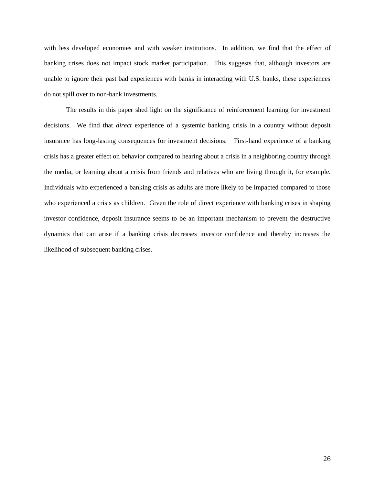with less developed economies and with weaker institutions. In addition, we find that the effect of banking crises does not impact stock market participation. This suggests that, although investors are unable to ignore their past bad experiences with banks in interacting with U.S. banks, these experiences do not spill over to non-bank investments.

The results in this paper shed light on the significance of reinforcement learning for investment decisions. We find that *direct* experience of a systemic banking crisis in a country without deposit insurance has long-lasting consequences for investment decisions. First-hand experience of a banking crisis has a greater effect on behavior compared to hearing about a crisis in a neighboring country through the media, or learning about a crisis from friends and relatives who are living through it, for example. Individuals who experienced a banking crisis as adults are more likely to be impacted compared to those who experienced a crisis as children. Given the role of direct experience with banking crises in shaping investor confidence, deposit insurance seems to be an important mechanism to prevent the destructive dynamics that can arise if a banking crisis decreases investor confidence and thereby increases the likelihood of subsequent banking crises.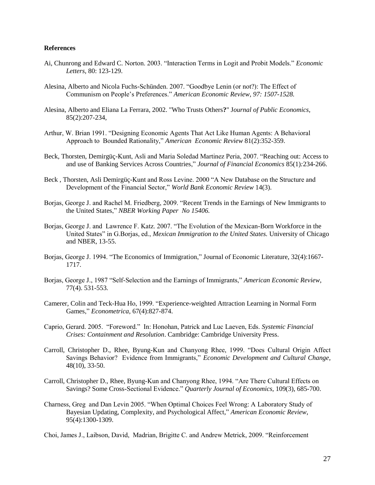#### **References**

- Ai, Chunrong and Edward C. Norton. 2003. "Interaction Terms in Logit and Probit Models." *Economic Letters,* 80: 123-129.
- Alesina, Alberto and Nicola Fuchs-Schünden. 2007. "Goodbye Lenin (or not?): The Effect of Communism on People's Preferences." *American Economic Review, 97: 1507-1528.*
- Alesina, Alberto and Eliana La Ferrara, 2002. "Who Trusts Others**?**" J*ournal of Public Economics*, 85(2):207-234,
- Arthur, W. Brian 1991. "Designing Economic Agents That Act Like Human Agents: A Behavioral Approach to Bounded Rationality," *American Economic Review* 81(2):352-359.
- Beck, Thorsten, Demirgüç-Kunt, Asli and Maria Soledad Martinez Peria, 2007. "Reaching out: Access to and use of Banking Services Across Countries," *Journal of Financial Economics* 85(1)*:*234-266.
- Beck , Thorsten, Asli Demirgüç-Kunt and Ross Levine. 2000 "A New Database on the Structure and Development of the Financial Sector," *World Bank Economic Review* 14(3).
- Borjas, George J. and Rachel M. Friedberg, 2009. "Recent Trends in the Earnings of New Immigrants to the United States," *NBER Working Paper No 15406.*
- Borjas, George J. and Lawrence F. Katz. 2007. "The Evolution of the Mexican-Born Workforce in the United States" in G.Borjas, ed., *Mexican Immigration to the United States.* University of Chicago and NBER, 13-55.
- Borjas, George J. 1994. "The Economics of Immigration," Journal of Economic Literature, 32(4):1667- 1717.
- Borjas, George J., 1987 "Self-Selection and the Earnings of Immigrants," *American Economic Review*, 77(4). 531-553*.*
- Camerer, Colin and Teck-Hua Ho, 1999. "Experience-weighted Attraction Learning in Normal Form Games," *Econometrica*, 67(4):827-874.
- Caprio, Gerard. 2005. "Foreword." In: Honohan, Patrick and Luc Laeven, Eds. *Systemic Financial Crises: Containment and Resolution*. Cambridge: Cambridge University Press.
- Carroll, Christopher D., Rhee, Byung-Kun and Chanyong Rhee, 1999. "Does Cultural Origin Affect Savings Behavior? Evidence from Immigrants," *Economic Development and Cultural Change*, 48(10), 33-50.
- Carroll, Christopher D., Rhee, Byung-Kun and Chanyong Rhee, 1994. "Are There Cultural Effects on Savings? Some Cross-Sectional Evidence." *Quarterly Journal of Economics,* 109(3), 685-700.
- Charness, Greg and Dan Levin 2005. "When Optimal Choices Feel Wrong: A Laboratory Study of Bayesian Updating, Complexity, and Psychological Affect," *American Economic Review*, 95(4):1300-1309.
- Choi, James J., Laibson, David, Madrian, Brigitte C. and Andrew Metrick, 2009. "Reinforcement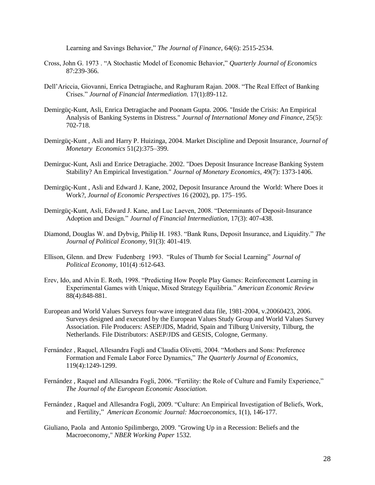Learning and Savings Behavior," *The Journal of Finance*, 64(6): 2515-2534.

- Cross, John G. 1973 . "A Stochastic Model of Economic Behavior," *Quarterly Journal of Economics*  87:239-366.
- Dell'Ariccia, Giovanni, Enrica Detragiache, and Raghuram Rajan. 2008. "The Real Effect of Banking Crises." *Journal of Financial Intermediation.* 17(1):89-112.
- Demirgüç-Kunt, Asli, Enrica Detragiache and Poonam Gupta. 2006. "Inside the Crisis: An Empirical Analysis of Banking Systems in Distress." *Journal of International Money and Finance*, 25(5): 702-718.
- Demirgüç-Kunt , Asli and Harry P. Huizinga, 2004. Market Discipline and Deposit Insurance, *Journal of Monetary Economics* 51(2):375–399.
- Demirguc-Kunt, Asli and Enrice Detragiache. 2002. "Does Deposit Insurance Increase Banking System Stability? An Empirical Investigation." *Journal of Monetary Economics*, 49(7): 1373-1406.
- [Demirgüç-Kunt , Asli and Edward J. Kane, 2002,](http://www.sciencedirect.com/science?_ob=ArticleURL&_udi=B6WJD-4S2MHX9-2&_user=6753791&_coverDate=07%2F31%2F2008&_rdoc=1&_fmt=full&_orig=search&_cdi=6876&_sort=d&_docanchor=&view=c&_searchStrId=963996303&_rerunOrigin=scholar.google&_acct=C000070502&_version=1&_urlVersion=0&_userid=6753791&md5=287bff7e53f597bdf0c0334440aa81b6#bbib009) Deposit Insurance Around the World: Where Does it Work?, *Journal of Economic Perspectives* 16 (2002), pp. 175–195.
- Demirgüç-Kunt, Asli, Edward J. Kane, and Luc Laeven, 2008. "Determinants of Deposit-Insurance Adoption and Design." *Journal of Financial Intermediation*, 17(3): 407-438.
- Diamond, Douglas W. and Dybvig, Philip H. 1983. "Bank Runs, Deposit Insurance, and Liquidity." *The Journal of Political Economy,* 91(3): 401-419.
- Ellison, Glenn. and Drew Fudenberg 1993. "Rules of Thumb for Social Learning" *Journal of Political Economy*, 101(4) :612-643.
- Erev, Ido, and Alvin E. Roth, 1998. "Predicting How People Play Games: Reinforcement Learning in Experimental Games with Unique, Mixed Strategy Equilibria." *American Economic Review*  88(4):848-881.
- European and World Values Surveys four-wave integrated data file, 1981-2004, v.20060423, 2006. Surveys designed and executed by the European Values Study Group and World Values Survey Association. File Producers: ASEP/JDS, Madrid, Spain and Tilburg University, Tilburg, the Netherlands. File Distributors: ASEP/JDS and GESIS, Cologne, Germany.
- Fernández , Raquel, Allesandra Fogli and Claudia Olivetti, 2004. "Mothers and Sons: Preference Formation and Female Labor Force Dynamics," *The Quarterly Journal of Economics,* 119(4):1249-1299.
- Fernández , Raquel and Allesandra Fogli, 2006. "Fertility: the Role of Culture and Family Experience," *The Journal of the European Economic Association.*
- Fernández , Raquel and Allesandra Fogli, 2009. "Culture: An Empirical Investigation of Beliefs, Work, and Fertility," *American Economic Journal: Macroeconomics*, 1(1), 146-177.
- Giuliano, Paola and Antonio Spilimbergo, 2009. "Growing Up in a Recession: Beliefs and the Macroeconomy," *NBER Working Paper* 1532.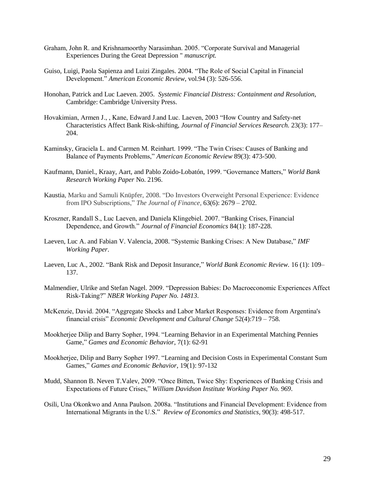- Graham, John R. and Krishnamoorthy Narasimhan. 2005. "Corporate Survival and Managerial Experiences During the Great Depression " *manuscript.*
- Guiso, Luigi, Paola Sapienza and Luizi Zingales. 2004. "The Role of Social Capital in Financial Development." *American Economic Review*, vol.94 (3): 526-556.
- Honohan, Patrick and Luc Laeven. 2005. *Systemic Financial Distress: Containment and Resolution*, Cambridge: Cambridge University Press.
- Hovakimian, Armen J., , Kane, Edward J.and Luc. Laeven, 2003 "How Country and Safety-net Characteristics Affect Bank Risk-shifting, *Journal of Financial Services Research.* 23(3): 177– 204.
- Kaminsky, Graciela L. and Carmen M. Reinhart. 1999. "The Twin Crises: Causes of Banking and Balance of Payments Problems," *American Economic Review* 89(3): 473-500.
- Kaufmann, Daniel., Kraay, Aart, and Pablo Zoido-Lobatón, 1999. "Governance Matters," *World Bank Research Working Paper* No. 2196.
- Kaustia, Marku and Samuli Knüpfer, 2008. "Do Investors Overweight Personal Experience: Evidence from IPO Subscriptions," *The Journal of Finance*, 63(6): 2679 – 2702.
- Kroszner, Randall S., Luc Laeven, and Daniela Klingebiel. 2007. "Banking Crises, Financial Dependence, and Growth." *Journal of Financial Economics* 84(1): 187-228.
- Laeven, Luc A. and Fabian V. Valencia, 2008. "Systemic Banking Crises: A New Database," *IMF Working Paper*.
- Laeven, Luc A., 2002. "Bank Risk and Deposit Insurance," *World Bank Economic Review.* 16 (1): 109– 137.
- Malmendier, Ulrike and Stefan Nagel. 2009. "Depression Babies: Do Macroeconomic Experiences Affect Risk-Taking?" *NBER Working Paper No. 14813*.
- McKenzie, David. 2004. "Aggregate Shocks and Labor Market Responses: Evidence from Argentina's financial crisis" *Economic Development and Cultural Change* 52(4):719 – 758.
- Mookherjee Dilip and Barry Sopher, 1994. "Learning Behavior in an Experimental Matching Pennies Game," *Games and Economic Behavior*, 7(1): 62-91
- Mookherjee, Dilip and Barry Sopher 1997. "Learning and Decision Costs in Experimental Constant Sum Games," *Games and Economic Behavior*, 19(1): 97-132
- Mudd, Shannon B. Neven T.Valev, 2009. "Once Bitten, Twice Shy: Experiences of Banking Crisis and Expectations of Future Crises," *William Davidson Institute Working Paper No. 969*.
- Osili, Una Okonkwo and Anna Paulson. 2008a. "Institutions and Financial Development: Evidence from International Migrants in the U.S." *Review of Economics and Statistics,* 90(3): 498-517.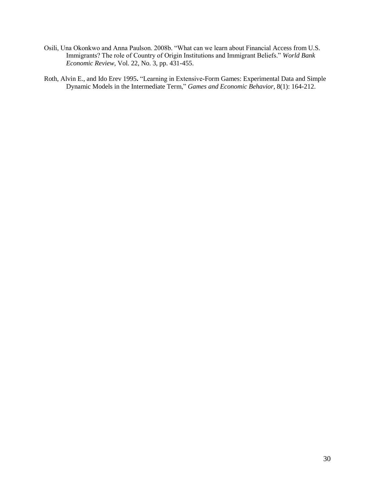- Osili, Una Okonkwo and Anna Paulson. 2008b. "What can we learn about Financial Access from U.S. Immigrants? The role of Country of Origin Institutions and Immigrant Beliefs." *World Bank Economic Review,* Vol. 22, No. 3, pp. 431-455.
- Roth, Alvin E., and Ido Erev 1995**.** "Learning in Extensive-Form Games: Experimental Data and Simple Dynamic Models in the Intermediate Term," *Games and Economic Behavior*, 8(1): 164-212.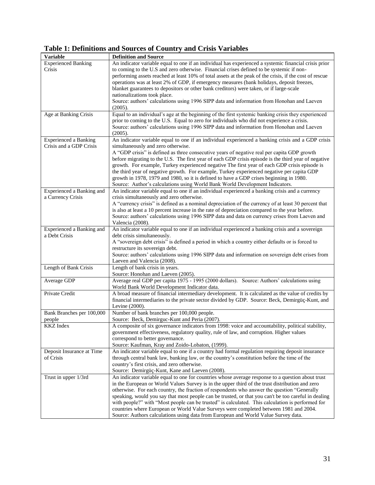**Table 1: Definitions and Sources of Country and Crisis Variables**

| <b>Variable</b>              | <b>Definition and Source</b>                                                                            |
|------------------------------|---------------------------------------------------------------------------------------------------------|
| <b>Experienced Banking</b>   | An indicator variable equal to one if an individual has experienced a systemic financial crisis prior   |
| Crisis                       | to coming to the U.S and zero otherwise. Financial crises defined to be systemic if non-                |
|                              | performing assets reached at least 10% of total assets at the peak of the crisis, if the cost of rescue |
|                              | operations was at least 2% of GDP, if emergency measures (bank holidays, deposit freezes,               |
|                              | blanket guarantees to depositors or other bank creditors) were taken, or if large-scale                 |
|                              | nationalizations took place.                                                                            |
|                              | Source: authors' calculations using 1996 SIPP data and information from Honohan and Laeven              |
|                              | (2005).                                                                                                 |
| Age at Banking Crisis        | Equal to an individual's age at the beginning of the first systemic banking crisis they experienced     |
|                              | prior to coming to the U.S. Equal to zero for individuals who did not experience a crisis.              |
|                              | Source: authors' calculations using 1996 SIPP data and information from Honohan and Laeven              |
|                              | (2005).                                                                                                 |
| <b>Experienced a Banking</b> | An indicator variable equal to one if an individual experienced a banking crisis and a GDP crisis       |
| Crisis and a GDP Crisis      | simultaneously and zero otherwise.                                                                      |
|                              |                                                                                                         |
|                              | A "GDP crisis" is defined as three consecutive years of negative real per capita GDP growth             |
|                              | before migrating to the U.S. The first year of each GDP crisis episode is the third year of negative    |
|                              | growth. For example, Turkey experienced negative The first year of each GDP crisis episode is           |
|                              | the third year of negative growth. For example, Turkey experienced negative per capita GDP              |
|                              | growth in 1978, 1979 and 1980, so it is defined to have a GDP crises beginning in 1980.                 |
|                              | Source: Author's calculations using World Bank World Development Indicators.                            |
| Experienced a Banking and    | An indicator variable equal to one if an individual experienced a banking crisis and a currency         |
| a Currency Crisis            | crisis simultaneously and zero otherwise.                                                               |
|                              | A "currency crisis" is defined as a nominal depreciation of the currency of at least 30 percent that    |
|                              | is also at least a 10 percent increase in the rate of depreciation compared to the year before.         |
|                              | Source: authors' calculations using 1996 SIPP data and data on currency crises from Laeven and          |
|                              | Valencia (2008).                                                                                        |
| Experienced a Banking and    | An indicator variable equal to one if an individual experienced a banking crisis and a sovereign        |
| a Debt Crisis                | debt crisis simultaneously.                                                                             |
|                              | A "sovereign debt crisis" is defined a period in which a country either defaults or is forced to        |
|                              | restructure its sovereign debt.                                                                         |
|                              | Source: authors' calculations using 1996 SIPP data and information on sovereign debt crises from        |
|                              | Laeven and Valencia (2008).                                                                             |
| Length of Bank Crisis        | Length of bank crisis in years.                                                                         |
|                              | Source: Honohan and Laeven (2005).                                                                      |
| Average GDP                  | Average real GDP per capita 1975 - 1995 (2000 dollars). Source: Authors' calculations using             |
|                              | World Bank World Development Indicator data.                                                            |
| Private Credit               | A broad measure of financial intermediary development. It is calculated as the value of credits by      |
|                              | financial intermediaries to the private sector divided by GDP. Source: Beck, Demirgüç-Kunt, and         |
|                              | Levine (2000).                                                                                          |
| Bank Branches per 100,000    | Number of bank branches per 100,000 people.                                                             |
| people                       | Source: Beck, Demirguc-Kunt and Peria (2007).                                                           |
| <b>KKZ</b> Index             | A composite of six governance indicators from 1998: voice and accountability, political stability,      |
|                              | government effectiveness, regulatory quality, rule of law, and corruption. Higher values                |
|                              | correspond to better governance.                                                                        |
|                              | Source: Kaufman, Kray and Zoido-Lobaton, (1999).                                                        |
| Deposit Insurance at Time    | An indicator variable equal to one if a country had formal regulation requiring deposit insurance       |
| of Crisis                    | through central bank law, banking law, or the country's constitution before the time of the             |
|                              | country's first crisis, and zero otherwise.                                                             |
|                              | Source: Demirgüç-Kunt, Kane and Laeven (2008).                                                          |
| Trust in upper 1/3rd         | An indicator variable equal to one for countries whose average response to a question about trust       |
|                              | in the European or World Values Survey is in the upper third of the trust distribution and zero         |
|                              | otherwise. For each country, the fraction of respondents who answer the question "Generally             |
|                              | speaking, would you say that most people can be trusted, or that you can't be too careful in dealing    |
|                              | with people?" with "Most people can be trusted" is calculated. This calculation is performed for        |
|                              | countries where European or World Value Surveys were completed between 1981 and 2004.                   |
|                              | Source: Authors calculations using data from European and World Value Survey data.                      |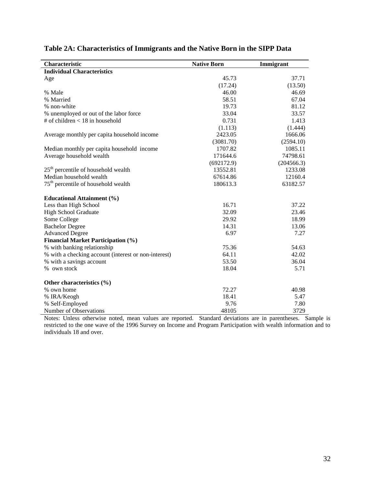| Characteristic                                       | <b>Native Born</b> | Immigrant  |
|------------------------------------------------------|--------------------|------------|
| <b>Individual Characteristics</b>                    |                    |            |
| Age                                                  | 45.73              | 37.71      |
|                                                      | (17.24)            | (13.50)    |
| % Male                                               | 46.00              | 46.69      |
| % Married                                            | 58.51              | 67.04      |
| % non-white                                          | 19.73              | 81.12      |
| % unemployed or out of the labor force               | 33.04              | 33.57      |
| # of children $<$ 18 in household                    | 0.731              | 1.413      |
|                                                      | (1.113)            | (1.444)    |
| Average monthly per capita household income          | 2423.05            | 1666.06    |
|                                                      | (3081.70)          | (2594.10)  |
| Median monthly per capita household income           | 1707.82            | 1085.11    |
| Average household wealth                             | 171644.6           | 74798.61   |
|                                                      | (692172.9)         | (204566.3) |
| $25th$ percentile of household wealth                | 13552.81           | 1233.08    |
| Median household wealth                              | 67614.86           | 12160.4    |
| 75 <sup>th</sup> percentile of household wealth      | 180613.3           | 63182.57   |
| <b>Educational Attainment</b> (%)                    |                    |            |
| Less than High School                                | 16.71              | 37.22      |
| High School Graduate                                 | 32.09              | 23.46      |
| Some College                                         | 29.92              | 18.99      |
| <b>Bachelor Degree</b>                               | 14.31              | 13.06      |
| <b>Advanced Degree</b>                               | 6.97               | 7.27       |
| <b>Financial Market Participation (%)</b>            |                    |            |
| % with banking relationship                          | 75.36              | 54.63      |
| % with a checking account (interest or non-interest) | 64.11              | 42.02      |
| % with a savings account                             | 53.50              | 36.04      |
| % own stock                                          | 18.04              | 5.71       |
| Other characteristics (%)                            |                    |            |
| % own home                                           | 72.27              | 40.98      |
| % IRA/Keogh                                          | 18.41              | 5.47       |
| % Self-Employed                                      | 9.76               | 7.80       |
| Number of Observations                               | 48105              | 3729       |

# **Table 2A: Characteristics of Immigrants and the Native Born in the SIPP Data**

Notes: Unless otherwise noted, mean values are reported. Standard deviations are in parentheses. Sample is restricted to the one wave of the 1996 Survey on Income and Program Participation with wealth information and to individuals 18 and over.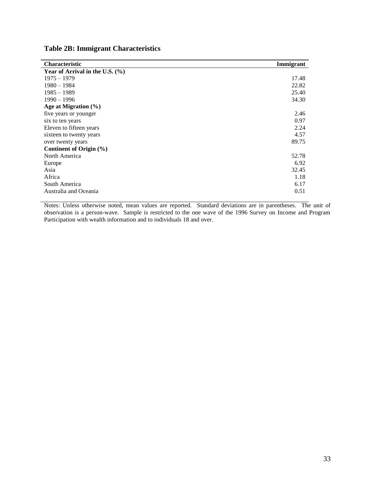|  |  | <b>Table 2B: Immigrant Characteristics</b> |
|--|--|--------------------------------------------|
|--|--|--------------------------------------------|

| <b>Characteristic</b>             | Immigrant |
|-----------------------------------|-----------|
| Year of Arrival in the U.S. $(\%$ |           |
| $1975 - 1979$                     | 17.48     |
| $1980 - 1984$                     | 22.82     |
| $1985 - 1989$                     | 25.40     |
| $1990 - 1996$                     | 34.30     |
| Age at Migration $(\%)$           |           |
| five years or younger             | 2.46      |
| six to ten years                  | 0.97      |
| Eleven to fifteen years           | 2.24      |
| sixteen to twenty years           | 4.57      |
| over twenty years                 | 89.75     |
| Continent of Origin $(\% )$       |           |
| North America                     | 52.78     |
| Europe                            | 6.92      |
| Asia                              | 32.45     |
| Africa                            | 1.18      |
| South America                     | 6.17      |
| Australia and Oceania             | 0.51      |

Notes: Unless otherwise noted, mean values are reported. Standard deviations are in parentheses. The unit of observation is a person-wave. Sample is restricted to the one wave of the 1996 Survey on Income and Program Participation with wealth information and to individuals 18 and over.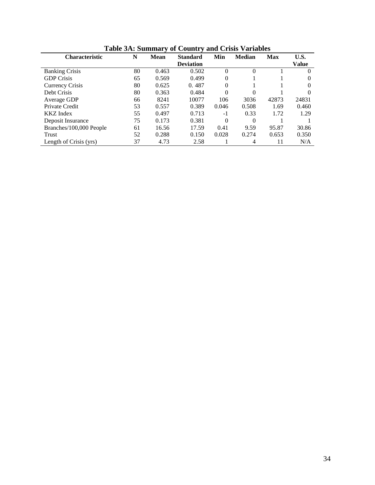| <b>Characteristic</b>   | N  | <b>Mean</b> | <b>Standard</b>  | Min      | <b>Median</b> | <b>Max</b> | U.S.         |
|-------------------------|----|-------------|------------------|----------|---------------|------------|--------------|
|                         |    |             | <b>Deviation</b> |          |               |            | <b>Value</b> |
| <b>Banking Crisis</b>   | 80 | 0.463       | 0.502            | $\Omega$ | $\theta$      |            | $\theta$     |
| <b>GDP</b> Crisis       | 65 | 0.569       | 0.499            | 0        |               |            |              |
| Currency Crisis         | 80 | 0.625       | 0.487            | $\Omega$ |               |            | 0            |
| Debt Crisis             | 80 | 0.363       | 0.484            | $\Omega$ | 0             |            |              |
| Average GDP             | 66 | 8241        | 10077            | 106      | 3036          | 42873      | 24831        |
| Private Credit          | 53 | 0.557       | 0.389            | 0.046    | 0.508         | 1.69       | 0.460        |
| <b>KKZ</b> Index        | 55 | 0.497       | 0.713            | $-1$     | 0.33          | 1.72       | 1.29         |
| Deposit Insurance       | 75 | 0.173       | 0.381            | $\Omega$ | $\Omega$      |            |              |
| Branches/100,000 People | 61 | 16.56       | 17.59            | 0.41     | 9.59          | 95.87      | 30.86        |
| Trust                   | 52 | 0.288       | 0.150            | 0.028    | 0.274         | 0.653      | 0.350        |
| Length of Crisis (yrs)  | 37 | 4.73        | 2.58             |          | 4             | 11         | N/A          |

**Table 3A: Summary of Country and Crisis Variables**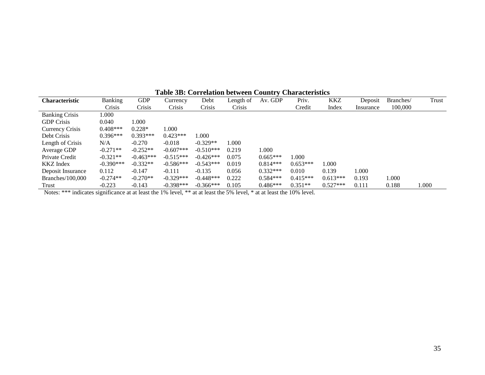|                       |             |             |             | 1 aprè des corrents de la cent |           | $\sim$ $\sim$ $\sim$ $\sim$ $\sim$ $\sim$ | $\sim$ $\sim$ $\sim$ $\sim$ $\sim$ $\sim$ $\sim$ $\sim$ |            |           |           |       |
|-----------------------|-------------|-------------|-------------|--------------------------------|-----------|-------------------------------------------|---------------------------------------------------------|------------|-----------|-----------|-------|
| Characteristic        | Banking     | GDP         | Currency    | Debt                           | Length of | Av. GDP                                   | Priv.                                                   | <b>KKZ</b> | Deposit   | Branches/ | Trust |
|                       | Crisis      | Crisis      | Crisis      | Crisis                         | Crisis    |                                           | Credit                                                  | Index      | Insurance | 100,000   |       |
| <b>Banking Crisis</b> | 1.000       |             |             |                                |           |                                           |                                                         |            |           |           |       |
| <b>GDP</b> Crisis     | 0.040       | 1.000       |             |                                |           |                                           |                                                         |            |           |           |       |
| Currency Crisis       | $0.408***$  | $0.228*$    | 1.000       |                                |           |                                           |                                                         |            |           |           |       |
| Debt Crisis           | $0.396***$  | $0.393***$  | $0.423***$  | 1.000                          |           |                                           |                                                         |            |           |           |       |
| Length of Crisis      | N/A         | $-0.270$    | $-0.018$    | $-0.329**$                     | 1.000     |                                           |                                                         |            |           |           |       |
| Average GDP           | $-0.271**$  | $-0.252**$  | $-0.607***$ | $-0.510***$                    | 0.219     | 1.000                                     |                                                         |            |           |           |       |
| Private Credit        | $-0.321**$  | $-0.463***$ | $-0.515***$ | $-0.426***$                    | 0.075     | $0.665***$                                | 1.000                                                   |            |           |           |       |
| <b>KKZ</b> Index      | $-0.390***$ | $-0.332**$  | $-0.586***$ | $-0.543***$                    | 0.019     | $0.814***$                                | $0.653***$                                              | 1.000      |           |           |       |
| Deposit Insurance     | 0.112       | $-0.147$    | $-0.111$    | $-0.135$                       | 0.056     | $0.332***$                                | 0.010                                                   | 0.139      | .000      |           |       |
| Branches/100,000      | $-0.274**$  | $-0.270**$  | $-0.329***$ | $-0.448***$                    | 0.222     | $0.584***$                                | $0.415***$                                              | $0.613***$ | 0.193     | 1.000     |       |
| Trust                 | $-0.223$    | $-0.143$    | $-0.398***$ | $-0.366***$                    | 0.105     | $0.486***$                                | $0.351**$                                               | $0.527***$ | 0.111     | 0.188     | 1.000 |

**Table 3B: Correlation between Country Characteristics**

Notes: \*\*\* indicates significance at at least the 1% level, \*\* at at least the 5% level, \* at at least the 10% level.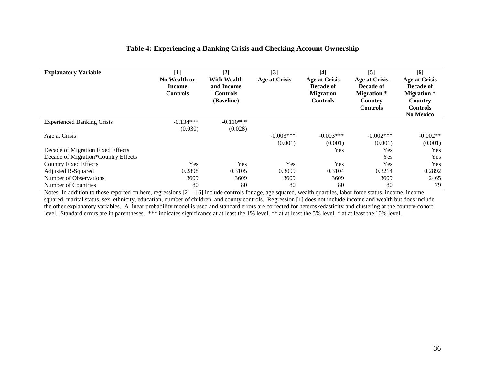| <b>Explanatory Variable</b>         | $[1] % \includegraphics[width=0.9\columnwidth]{figures/fig_1a} \caption{The figure shows the number of times on the right, and the number of times on the right, respectively.} \label{fig:1} %$<br>No Wealth or | $[2]$<br><b>With Wealth</b><br>and Income | $[3]$<br><b>Age at Crisis</b> | $[4]$<br><b>Age at Crisis</b><br>Decade of | $[5]$<br><b>Age at Crisis</b><br>Decade of       | [6]<br><b>Age at Crisis</b><br>Decade of         |
|-------------------------------------|------------------------------------------------------------------------------------------------------------------------------------------------------------------------------------------------------------------|-------------------------------------------|-------------------------------|--------------------------------------------|--------------------------------------------------|--------------------------------------------------|
|                                     | <b>Income</b><br><b>Controls</b>                                                                                                                                                                                 | <b>Controls</b><br>(Baseline)             |                               | <b>Migration</b><br><b>Controls</b>        | <b>Migration</b> *<br>Country<br><b>Controls</b> | <b>Migration</b> *<br>Country<br><b>Controls</b> |
|                                     |                                                                                                                                                                                                                  |                                           |                               |                                            |                                                  | <b>No Mexico</b>                                 |
| <b>Experienced Banking Crisis</b>   | $-0.134***$                                                                                                                                                                                                      | $-0.110***$                               |                               |                                            |                                                  |                                                  |
|                                     | (0.030)                                                                                                                                                                                                          | (0.028)                                   |                               |                                            |                                                  |                                                  |
| Age at Crisis                       |                                                                                                                                                                                                                  |                                           | $-0.003***$                   | $-0.003***$                                | $-0.002***$                                      | $-0.002**$                                       |
|                                     |                                                                                                                                                                                                                  |                                           | (0.001)                       | (0.001)                                    | (0.001)                                          | (0.001)                                          |
| Decade of Migration Fixed Effects   |                                                                                                                                                                                                                  |                                           |                               | Yes                                        | Yes                                              | Yes                                              |
| Decade of Migration*Country Effects |                                                                                                                                                                                                                  |                                           |                               |                                            | Yes                                              | Yes                                              |
| <b>Country Fixed Effects</b>        | Yes                                                                                                                                                                                                              | Yes                                       | Yes                           | Yes                                        | Yes                                              | Yes                                              |
| Adjusted R-Squared                  | 0.2898                                                                                                                                                                                                           | 0.3105                                    | 0.3099                        | 0.3104                                     | 0.3214                                           | 0.2892                                           |
| Number of Observations              | 3609                                                                                                                                                                                                             | 3609                                      | 3609                          | 3609                                       | 3609                                             | 2465                                             |
| Number of Countries                 | 80                                                                                                                                                                                                               | 80                                        | 80                            | 80                                         | 80                                               | 79                                               |

# **Table 4: Experiencing a Banking Crisis and Checking Account Ownership**

Notes: In addition to those reported on here, regressions  $[2] - [6]$  include controls for age, age squared, wealth quartiles, labor force status, income, income squared, marital status, sex, ethnicity, education, number of children, and county controls. Regression [1] does not include income and wealth but does include the other explanatory variables. A linear probability model is used and standard errors are corrected for heteroskedasticity and clustering at the country-cohort level. Standard errors are in parentheses. \*\*\* indicates significance at at least the 1% level, \*\* at at least the 5% level, \* at at least the 10% level.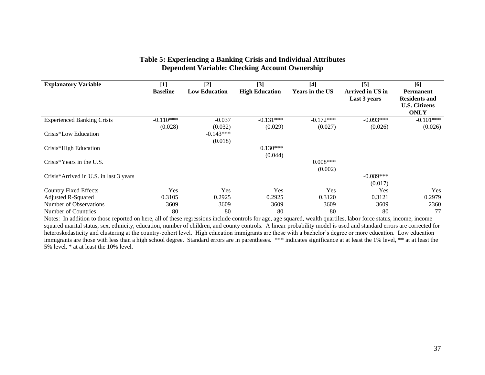| <b>Explanatory Variable</b>            | $[1]$           | $[2]$                | [3]                   | $[4]$           | [5]              | [6]                  |
|----------------------------------------|-----------------|----------------------|-----------------------|-----------------|------------------|----------------------|
|                                        | <b>Baseline</b> | <b>Low Education</b> | <b>High Education</b> | Years in the US | Arrived in US in | <b>Permanent</b>     |
|                                        |                 |                      |                       |                 | Last 3 years     | <b>Residents and</b> |
|                                        |                 |                      |                       |                 |                  | <b>U.S. Citizens</b> |
|                                        |                 |                      |                       |                 |                  | <b>ONLY</b>          |
| <b>Experienced Banking Crisis</b>      | $-0.110***$     | $-0.037$             | $-0.131***$           | $-0.172***$     | $-0.093***$      | $-0.101***$          |
|                                        | (0.028)         | (0.032)              | (0.029)               | (0.027)         | (0.026)          | (0.026)              |
| Crisis*Low Education                   |                 | $-0.143***$          |                       |                 |                  |                      |
|                                        |                 | (0.018)              |                       |                 |                  |                      |
| Crisis*High Education                  |                 |                      | $0.130***$            |                 |                  |                      |
|                                        |                 |                      | (0.044)               |                 |                  |                      |
| Crisis*Years in the U.S.               |                 |                      |                       | $0.008***$      |                  |                      |
|                                        |                 |                      |                       | (0.002)         |                  |                      |
| Crisis*Arrived in U.S. in last 3 years |                 |                      |                       |                 | $-0.089***$      |                      |
|                                        |                 |                      |                       |                 | (0.017)          |                      |
| <b>Country Fixed Effects</b>           | Yes             | Yes                  | Yes                   | Yes             | Yes              | Yes                  |
| <b>Adjusted R-Squared</b>              | 0.3105          | 0.2925               | 0.2925                | 0.3120          | 0.3121           | 0.2979               |
| Number of Observations                 | 3609            | 3609                 | 3609                  | 3609            | 3609             | 2360                 |
| Number of Countries                    | 80              | 80                   | 80                    | 80              | 80               | 77                   |

# **Table 5: Experiencing a Banking Crisis and Individual Attributes Dependent Variable: Checking Account Ownership**

Notes: In addition to those reported on here, all of these regressions include controls for age, age squared, wealth quartiles, labor force status, income, income squared marital status, sex, ethnicity, education, number of children, and county controls. A linear probability model is used and standard errors are corrected for heteroskedasticity and clustering at the country-cohort level. High education immigrants are those with a bachelor's degree or more education. Low education immigrants are those with less than a high school degree. Standard errors are in parentheses. \*\*\* indicates significance at at least the 1% level, \*\* at at least the 5% level, \* at at least the 10% level.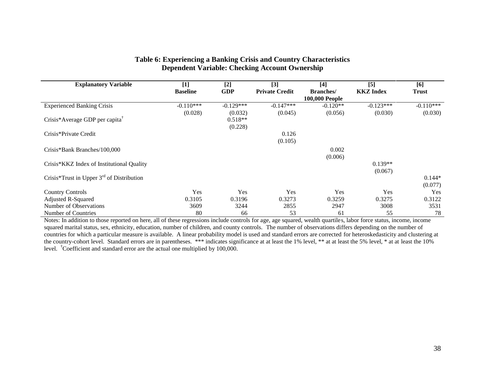| <b>Explanatory Variable</b>                    | $[1]$           | $[2]$       | [3]                   | $[4]$                 | [5]              | [6]          |
|------------------------------------------------|-----------------|-------------|-----------------------|-----------------------|------------------|--------------|
|                                                | <b>Baseline</b> | <b>GDP</b>  | <b>Private Credit</b> | <b>Branches</b> /     | <b>KKZ</b> Index | <b>Trust</b> |
|                                                |                 |             |                       | <b>100,000 People</b> |                  |              |
| <b>Experienced Banking Crisis</b>              | $-0.110***$     | $-0.129***$ | $-0.147***$           | $-0.120**$            | $-0.123***$      | $-0.110***$  |
|                                                | (0.028)         | (0.032)     | (0.045)               | (0.056)               | (0.030)          | (0.030)      |
| Crisis*Average GDP per capita <sup>†</sup>     |                 | $0.518**$   |                       |                       |                  |              |
|                                                |                 | (0.228)     |                       |                       |                  |              |
| Crisis*Private Credit                          |                 |             | 0.126                 |                       |                  |              |
|                                                |                 |             | (0.105)               |                       |                  |              |
| Crisis*Bank Branches/100,000                   |                 |             |                       | 0.002                 |                  |              |
|                                                |                 |             |                       | (0.006)               |                  |              |
| Crisis*KKZ Index of Institutional Quality      |                 |             |                       |                       | $0.139**$        |              |
|                                                |                 |             |                       |                       | (0.067)          |              |
| Crisis*Trust in Upper $3^{rd}$ of Distribution |                 |             |                       |                       |                  | $0.144*$     |
|                                                |                 |             |                       |                       |                  | (0.077)      |
| <b>Country Controls</b>                        | Yes             | Yes         | <b>Yes</b>            | Yes                   | Yes              | Yes          |
| <b>Adjusted R-Squared</b>                      | 0.3105          | 0.3196      | 0.3273                | 0.3259                | 0.3275           | 0.3122       |
| Number of Observations                         | 3609            | 3244        | 2855                  | 2947                  | 3008             | 3531         |
| Number of Countries                            | 80              | 66          | 53                    | 61                    | 55               | 78           |

### **Table 6: Experiencing a Banking Crisis and Country Characteristics Dependent Variable: Checking Account Ownership**

Notes: In addition to those reported on here, all of these regressions include controls for age, age squared, wealth quartiles, labor force status, income, income squared marital status, sex, ethnicity, education, number of children, and county controls. The number of observations differs depending on the number of countries for which a particular measure is available. A linear probability model is used and standard errors are corrected for heteroskedasticity and clustering at the country-cohort level. Standard errors are in parentheses. \*\*\* indicates significance at at least the 1% level, \*\* at at least the 5% level, \* at at least the 10% level. †Coefficient and standard error are the actual one multiplied by 100,000.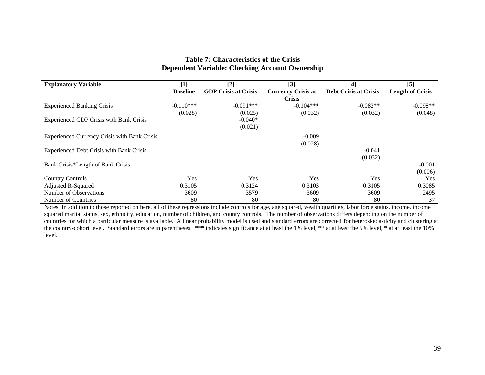| <b>Explanatory Variable</b>                         | $[1]$           | $[2]$                       | $[3]$                     | $[4]$                        | $[5]$                   |
|-----------------------------------------------------|-----------------|-----------------------------|---------------------------|------------------------------|-------------------------|
|                                                     | <b>Baseline</b> | <b>GDP Crisis at Crisis</b> | <b>Currency Crisis at</b> | <b>Debt Crisis at Crisis</b> | <b>Length of Crisis</b> |
|                                                     |                 |                             | <b>Crisis</b>             |                              |                         |
| <b>Experienced Banking Crisis</b>                   | $-0.110***$     | $-0.091***$                 | $-0.104***$               | $-0.082**$                   | $-0.098**$              |
|                                                     | (0.028)         | (0.025)                     | (0.032)                   | (0.032)                      | (0.048)                 |
| Experienced GDP Crisis with Bank Crisis             |                 | $-0.040*$                   |                           |                              |                         |
|                                                     |                 | (0.021)                     |                           |                              |                         |
| <b>Experienced Currency Crisis with Bank Crisis</b> |                 |                             | $-0.009$                  |                              |                         |
|                                                     |                 |                             | (0.028)                   |                              |                         |
| <b>Experienced Debt Crisis with Bank Crisis</b>     |                 |                             |                           | $-0.041$                     |                         |
|                                                     |                 |                             |                           | (0.032)                      |                         |
| Bank Crisis*Length of Bank Crisis                   |                 |                             |                           |                              | $-0.001$                |
|                                                     |                 |                             |                           |                              | (0.006)                 |
| <b>Country Controls</b>                             | Yes             | Yes                         | Yes                       | Yes                          | Yes                     |
| Adjusted R-Squared                                  | 0.3105          | 0.3124                      | 0.3103                    | 0.3105                       | 0.3085                  |
| Number of Observations                              | 3609            | 3579                        | 3609                      | 3609                         | 2495                    |
| Number of Countries                                 | 80              | 80                          | 80                        | 80                           | 37                      |

# **Table 7: Characteristics of the Crisis Dependent Variable: Checking Account Ownership**

Notes: In addition to those reported on here, all of these regressions include controls for age, age squared, wealth quartiles, labor force status, income, income squared marital status, sex, ethnicity, education, number of children, and county controls. The number of observations differs depending on the number of countries for which a particular measure is available. A linear probability model is used and standard errors are corrected for heteroskedasticity and clustering at the country-cohort level. Standard errors are in parentheses. \*\*\* indicates significance at at least the 1% level, \*\* at at least the 5% level, \* at at least the 10% level.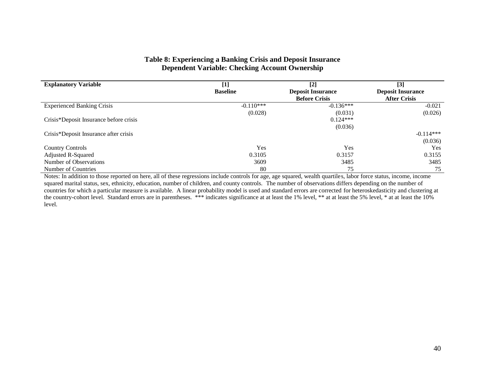## **Table 8: Experiencing a Banking Crisis and Deposit Insurance Dependent Variable: Checking Account Ownership**

| <b>Explanatory Variable</b>            | $[1]$           | $[2]$                    | [3]                      |
|----------------------------------------|-----------------|--------------------------|--------------------------|
|                                        | <b>Baseline</b> | <b>Deposit Insurance</b> | <b>Deposit Insurance</b> |
|                                        |                 | <b>Before Crisis</b>     | <b>After Crisis</b>      |
| <b>Experienced Banking Crisis</b>      | $-0.110***$     | $-0.136***$              | $-0.021$                 |
|                                        | (0.028)         | (0.031)                  | (0.026)                  |
| Crisis*Deposit Insurance before crisis |                 | $0.124***$               |                          |
|                                        |                 | (0.036)                  |                          |
| Crisis*Deposit Insurance after crisis  |                 |                          | $-0.114***$              |
|                                        |                 |                          | (0.036)                  |
| <b>Country Controls</b>                | Yes             | Yes                      | <b>Yes</b>               |
| Adjusted R-Squared                     | 0.3105          | 0.3157                   | 0.3155                   |
| Number of Observations                 | 3609            | 3485                     | 3485                     |
| Number of Countries                    | 80              | 75                       | 75                       |

Notes: In addition to those reported on here, all of these regressions include controls for age, age squared, wealth quartiles, labor force status, income, income squared marital status, sex, ethnicity, education, number of children, and county controls. The number of observations differs depending on the number of countries for which a particular measure is available. A linear probability model is used and standard errors are corrected for heteroskedasticity and clustering at the country-cohort level. Standard errors are in parentheses. \*\*\* indicates significance at at least the 1% level, \*\* at at least the 5% level, \* at at least the 10% level.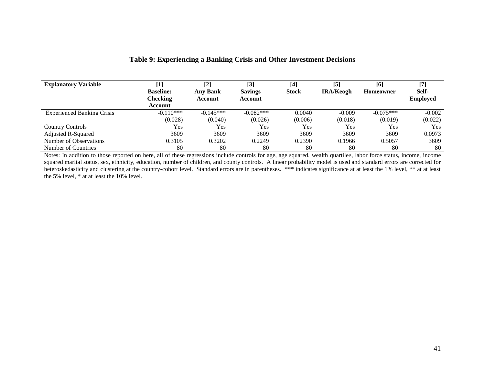| <b>Explanatory Variable</b>       | $[1]$            | $[2]$           | $[3]$          | $[4]$        | [5]              | [6]         | $[7]$           |
|-----------------------------------|------------------|-----------------|----------------|--------------|------------------|-------------|-----------------|
|                                   | <b>Baseline:</b> | <b>Any Bank</b> | <b>Savings</b> | <b>Stock</b> | <b>IRA/Keogh</b> | Homeowner   | Self-           |
|                                   | <b>Checking</b>  | Account         | Account        |              |                  |             | <b>Employed</b> |
|                                   | Account          |                 |                |              |                  |             |                 |
| <b>Experienced Banking Crisis</b> | $-0.110***$      | $-0.145***$     | $-0.082***$    | 0.0040       | $-0.009$         | $-0.075***$ | $-0.002$        |
|                                   | (0.028)          | (0.040)         | (0.026)        | (0.006)      | (0.018)          | (0.019)     | (0.022)         |
| <b>Country Controls</b>           | Yes              | Yes             | Yes            | Yes          | Yes              | Yes         | Yes             |
| Adjusted R-Squared                | 3609             | 3609            | 3609           | 3609         | 3609             | 3609        | 0.0973          |
| Number of Observations            | 0.3105           | 0.3202          | 0.2249         | 0.2390       | 0.1966           | 0.5057      | 3609            |
| Number of Countries               | 80               | 80              | 80             | 80           | 80               | 80          | 80              |

# **Table 9: Experiencing a Banking Crisis and Other Investment Decisions**

Notes: In addition to those reported on here, all of these regressions include controls for age, age squared, wealth quartiles, labor force status, income, income squared marital status, sex, ethnicity, education, number of children, and county controls. A linear probability model is used and standard errors are corrected for heteroskedasticity and clustering at the country-cohort level. Standard errors are in parentheses. \*\*\* indicates significance at at least the 1% level, \*\* at at least the 5% level, \* at at least the 10% level.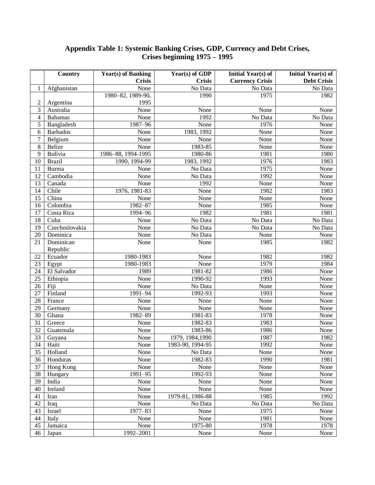## **Appendix Table 1: Systemic Banking Crises, GDP, Currency and Debt Crises, Crises beginning 1975 – 1995**

|                  | Country         | <b>Year(s)</b> of Banking | Year(s) of GDP   | Initial Year(s) of     | Initial Year(s) of |
|------------------|-----------------|---------------------------|------------------|------------------------|--------------------|
|                  |                 | <b>Crisis</b>             | <b>Crisis</b>    | <b>Currency Crisis</b> | <b>Debt Crisis</b> |
| 1                | Afghanistan     | None                      | No Data          | No Data                | No Data            |
|                  |                 | 1980-82, 1989-90,         | 1990             | 1975                   | 1982               |
| $\sqrt{2}$       | Argentina       | 1995                      |                  |                        |                    |
| $\mathfrak{Z}$   | Australia       | None                      | None             | None                   | None               |
| $\overline{4}$   | <b>Bahamas</b>  | None                      | 1992             | No Data                | No Data            |
| 5                | Bangladesh      | 1987-96                   | None             | 1976                   | None               |
| 6                | <b>Barbados</b> | None                      | 1983, 1992       | None                   | None               |
| $\boldsymbol{7}$ | Belgium         | None                      | None             | None                   | None               |
| $\,8\,$          | <b>Belize</b>   | None                      | 1983-85          | None                   | None               |
| 9                | Bolivia         | 1986-88, 1994-1995        | 1980-86          | 1981                   | 1980               |
| 10               | <b>Brazil</b>   | 1990, 1994-99             | 1983, 1992       | 1976                   | 1983               |
| 11               | <b>Burma</b>    | None                      | No Data          | 1975                   | None               |
| 12               | Cambodia        | None                      | No Data          | 1992                   | None               |
| 13               | Canada          | None                      | 1992             | None                   | None               |
| 14               | Chile           | 1976, 1981-83             | None             | 1982                   | 1983               |
| 15               | China           | None                      | None             | None                   | None               |
| 16               | Colombia        | 1982-87                   | None             | 1985                   | None               |
| 17               | Costa Rica      | 1994-96                   | 1982             | 1981                   | 1981               |
| 18               | Cuba            | None                      | No Data          | No Data                | No Data            |
| 19               | Czechoslovakia  | None                      | No Data          | No Data                | No Data            |
| 20               | Dominica        | None                      | No Data          | None                   | None               |
| 21               | Dominican       | None                      | None             | 1985                   | 1982               |
|                  | Republic        |                           |                  |                        |                    |
| 22               | Ecuador         | 1980-1983                 | None             | 1982                   | 1982               |
| 23               | Egypt           | 1980-1983                 | None             | 1979                   | 1984               |
| 24               | El Salvador     | 1989                      | 1981-82          | 1986                   | None               |
| 25               | Ethiopia        | None                      | 1990-92          | 1993                   | None               |
| 26               | Fiji            | None                      | No Data          | None                   | None               |
| 27               | Finland         | $1991 - 94$               | 1992-93          | 1993                   | None               |
| 28               | France          | None                      | None             | None                   | None               |
| 29               | Germany         | None                      | None             | None                   | None               |
| 30               | Ghana           | $1982 - 89$               | 1981-83          | 1978                   | None               |
| 31               | Greece          | None                      | 1982-83          | 1983                   | None               |
| 32               | Guatemala       | None                      | 1983-86          | 1986                   | None               |
| 33               | Guyana          | None                      | 1979, 1984, 1990 | 1987                   | 1982               |
| $\overline{34}$  | Haiti           | None                      | 1983-90, 1994-95 | 1992                   | None               |
| 35               | Holland         | None                      | No Data          | None                   | None               |
| 36               | Honduras        | None                      | 1982-83          | 1990                   | 1981               |
| 37               | Hong Kong       | None                      | None             | None                   | None               |
| 38               | Hungary         | $1991 - 95$               | 1992-93          | None                   | None               |
| 39               | India           | None                      | None             | None                   | None               |
| 40               | Ireland         | None                      | None             | None                   | None               |
| 41               | Iran            | None                      | 1979-81, 1986-88 | 1985                   | 1992               |
| 42               | Iraq            | None                      | No Data          | No Data                | No Data            |
| 43               | Israel          | 1977-83                   | None             | 1975                   | None               |
| 44               | Italy           | None                      | None             | 1981                   | None               |
| 45               | Jamaica         | None                      | 1975-80          | 1978                   | 1978               |
| 46               | Japan           | 1992-2001                 | None             | None                   | None               |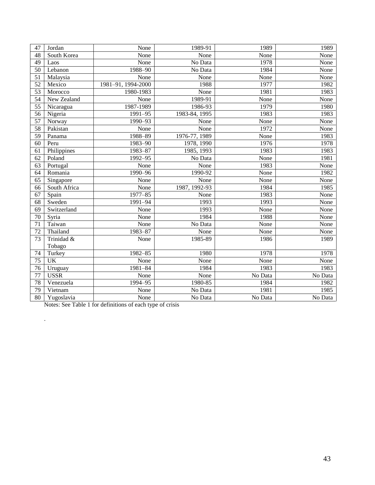| 47              | Jordan       | None               | 1989-91       | 1989    | 1989    |
|-----------------|--------------|--------------------|---------------|---------|---------|
| 48              | South Korea  | None               | None          | None    | None    |
| $\overline{49}$ | Laos         | None               | No Data       | 1978    | None    |
| $\overline{50}$ | Lebanon      | $1988 - 90$        | No Data       | 1984    | None    |
| $\overline{51}$ | Malaysia     | None               | None          | None    | None    |
| 52              | Mexico       | 1981-91, 1994-2000 | 1988          | 1977    | 1982    |
| 53              | Morocco      | 1980-1983          | None          | 1981    | 1983    |
| $\overline{54}$ | New Zealand  | None               | 1989-91       | None    | None    |
| $\overline{55}$ | Nicaragua    | 1987-1989          | 1986-93       | 1979    | 1980    |
| $\overline{56}$ | Nigeria      | $1991 - 95$        | 1983-84, 1995 | 1983    | 1983    |
| 57              | Norway       | 1990-93            | None          | None    | None    |
| 58              | Pakistan     | None               | None          | 1972    | None    |
| 59              | Panama       | 1988-89            | 1976-77, 1989 | None    | 1983    |
| 60              | Peru         | $1983 - 90$        | 1978, 1990    | 1976    | 1978    |
| 61              | Philippines  | $1983 - 87$        | 1985, 1993    | 1983    | 1983    |
| 62              | Poland       | $1992 - 95$        | No Data       | None    | 1981    |
| $\overline{63}$ | Portugal     | None               | None          | 1983    | None    |
| 64              | Romania      | $1990 - 96$        | 1990-92       | None    | 1982    |
| 65              | Singapore    | None               | None          | None    | None    |
| 66              | South Africa | None               | 1987, 1992-93 | 1984    | 1985    |
| 67              | Spain        | 1977-85            | None          | 1983    | None    |
| 68              | Sweden       | 1991-94            | 1993          | 1993    | None    |
| 69              | Switzerland  | None               | 1993          | None    | None    |
| $\overline{70}$ | Syria        | None               | 1984          | 1988    | None    |
| $\overline{71}$ | Taiwan       | None               | No Data       | None    | None    |
| $\overline{72}$ | Thailand     | 1983-87            | None          | None    | None    |
| $\overline{73}$ | Trinidad &   | None               | 1985-89       | 1986    | 1989    |
|                 | Tobago       |                    |               |         |         |
| 74              | Turkey       | 1982-85            | 1980          | 1978    | 1978    |
| 75              | <b>UK</b>    | None               | None          | None    | None    |
| 76              | Uruguay      | 1981-84            | 1984          | 1983    | 1983    |
| $\overline{77}$ | <b>USSR</b>  | None               | None          | No Data | No Data |
| 78              | Venezuela    | 1994-95            | 1980-85       | 1984    | 1982    |
| 79              | Vietnam      | None               | No Data       | 1981    | 1985    |
| $\overline{80}$ | Yugoslavia   | None               | No Data       | No Data | No Data |

Notes: See Table 1 for definitions of each type of crisis

.